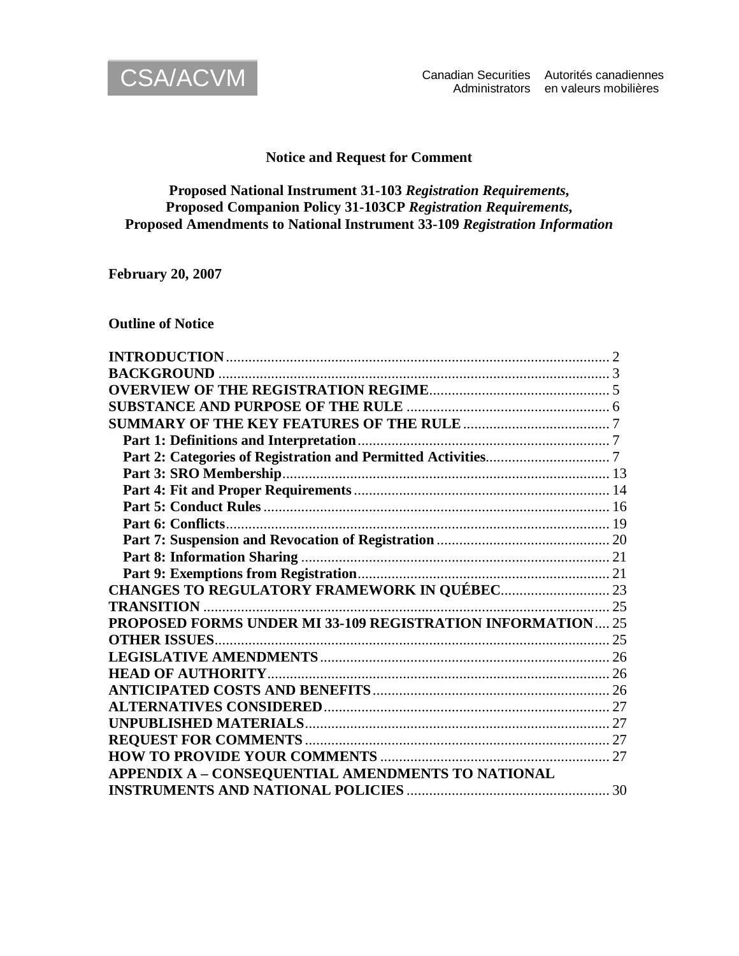

# **Notice and Request for Comment**

# **Proposed National Instrument 31-103** *Registration Requirements***, Proposed Companion Policy 31-103CP** *Registration Requirements***, Proposed Amendments to National Instrument 33-109** *Registration Information*

**February 20, 2007**

**Outline of Notice**

| PROPOSED FORMS UNDER MI 33-109 REGISTRATION INFORMATION 25 |  |
|------------------------------------------------------------|--|
|                                                            |  |
|                                                            |  |
|                                                            |  |
|                                                            |  |
|                                                            |  |
|                                                            |  |
|                                                            |  |
|                                                            |  |
| APPENDIX A - CONSEQUENTIAL AMENDMENTS TO NATIONAL          |  |
| <b>INSTRUMENTS AND NATIONAL POLICIES</b>                   |  |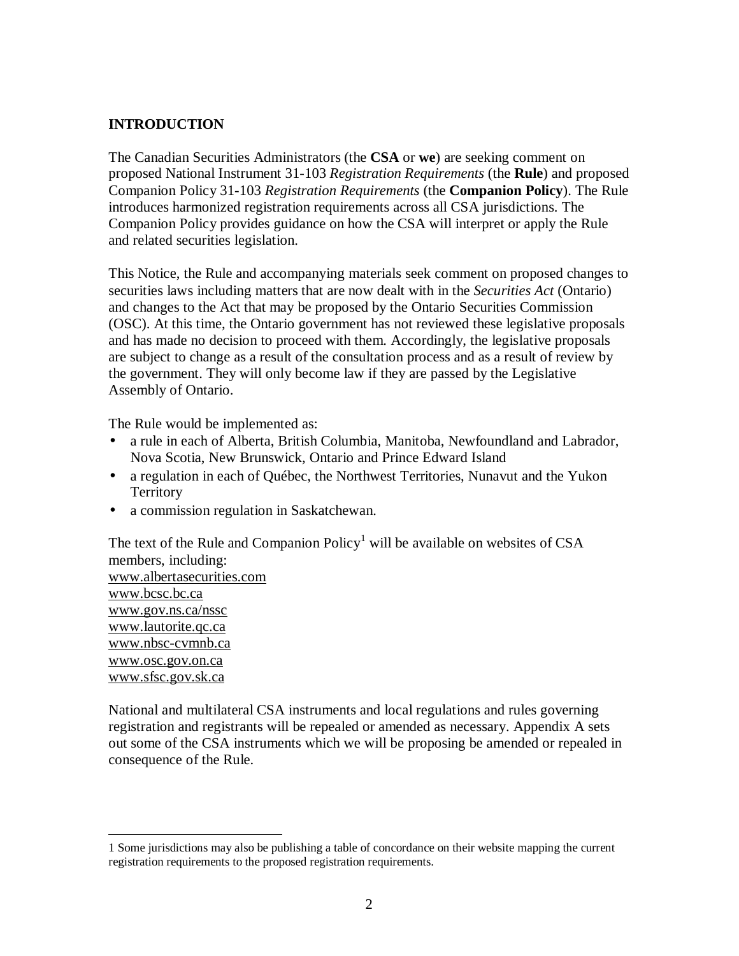# **INTRODUCTION**

The Canadian Securities Administrators (the **CSA** or **we**) are seeking comment on proposed National Instrument 31-103 *Registration Requirements* (the **Rule**) and proposed Companion Policy 31-103 *Registration Requirements* (the **Companion Policy**). The Rule introduces harmonized registration requirements across all CSA jurisdictions. The Companion Policy provides guidance on how the CSA will interpret or apply the Rule and related securities legislation.

This Notice, the Rule and accompanying materials seek comment on proposed changes to securities laws including matters that are now dealt with in the *Securities Act* (Ontario) and changes to the Act that may be proposed by the Ontario Securities Commission (OSC). At this time, the Ontario government has not reviewed these legislative proposals and has made no decision to proceed with them. Accordingly, the legislative proposals are subject to change as a result of the consultation process and as a result of review by the government. They will only become law if they are passed by the Legislative Assembly of Ontario.

The Rule would be implemented as:

<u>.</u>

- a rule in each of Alberta, British Columbia, Manitoba, Newfoundland and Labrador, Nova Scotia, New Brunswick, Ontario and Prince Edward Island
- a regulation in each of Québec, the Northwest Territories, Nunavut and the Yukon **Territory**
- a commission regulation in Saskatchewan.

The text of the Rule and Companion  $Policy<sup>1</sup>$  will be available on websites of CSA members, including: [www.albertasecurities.com](http://www.albertasecurities.com/) [www.bcsc.bc.ca](http://www.bcsc.bc.ca/) [www.gov.ns.ca/nssc](http://www.gov.ns.ca/nssc) [www.lautorite.qc.ca](http://www.lautorite.qc.ca/) [www.nbsc-cvmnb.ca](http://www.nbsc-cvmnb.ca/) [www.osc.gov.on.ca](http://www.osc.gov.on.ca/) [www.sfsc.gov.sk.ca](http://www.sfsc.gov.sk.ca/)

National and multilateral CSA instruments and local regulations and rules governing registration and registrants will be repealed or amended as necessary. Appendix A sets out some of the CSA instruments which we will be proposing be amended or repealed in consequence of the Rule.

<sup>1</sup> Some jurisdictions may also be publishing a table of concordance on their website mapping the current registration requirements to the proposed registration requirements.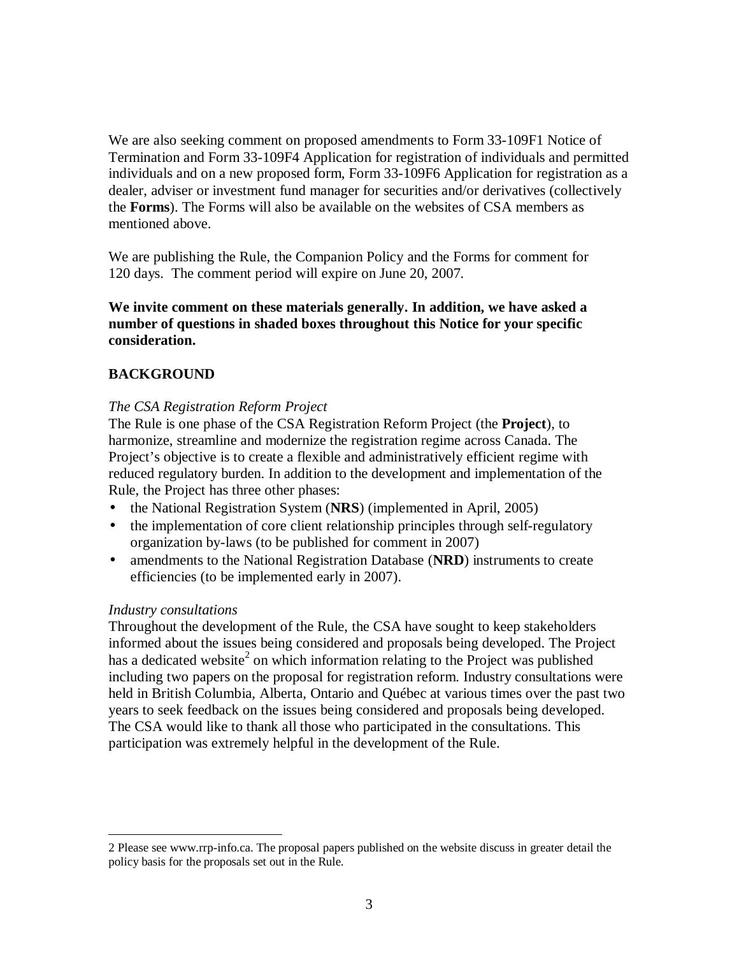We are also seeking comment on proposed amendments to Form 33-109F1 Notice of Termination and Form 33-109F4 Application for registration of individuals and permitted individuals and on a new proposed form, Form 33-109F6 Application for registration as a dealer, adviser or investment fund manager for securities and/or derivatives (collectively the **Forms**). The Forms will also be available on the websites of CSA members as mentioned above.

We are publishing the Rule, the Companion Policy and the Forms for comment for 120 days. The comment period will expire on June 20, 2007.

**We invite comment on these materials generally. In addition, we have asked a number of questions in shaded boxes throughout this Notice for your specific consideration.**

# **BACKGROUND**

## *The CSA Registration Reform Project*

The Rule is one phase of the CSA Registration Reform Project (the **Project**), to harmonize, streamline and modernize the registration regime across Canada. The Project's objective is to create a flexible and administratively efficient regime with reduced regulatory burden. In addition to the development and implementation of the Rule, the Project has three other phases:

- the National Registration System (**NRS**) (implemented in April, 2005)
- the implementation of core client relationship principles through self-regulatory organization by-laws (to be published for comment in 2007)
- amendments to the National Registration Database (NRD) instruments to create efficiencies (to be implemented early in 2007).

## *Industry consultations*

<u>.</u>

Throughout the development of the Rule, the CSA have sought to keep stakeholders informed about the issues being considered and proposals being developed. The Project has a dedicated website<sup>2</sup> on which information relating to the Project was published including two papers on the proposal for registration reform. Industry consultations were held in British Columbia, Alberta, Ontario and Québec at various times over the past two years to seek feedback on the issues being considered and proposals being developed. The CSA would like to thank all those who participated in the consultations. This participation was extremely helpful in the development of the Rule.

<sup>2</sup> Please see www.rrp-info.ca. The proposal papers published on the website discuss in greater detail the policy basis for the proposals set out in the Rule.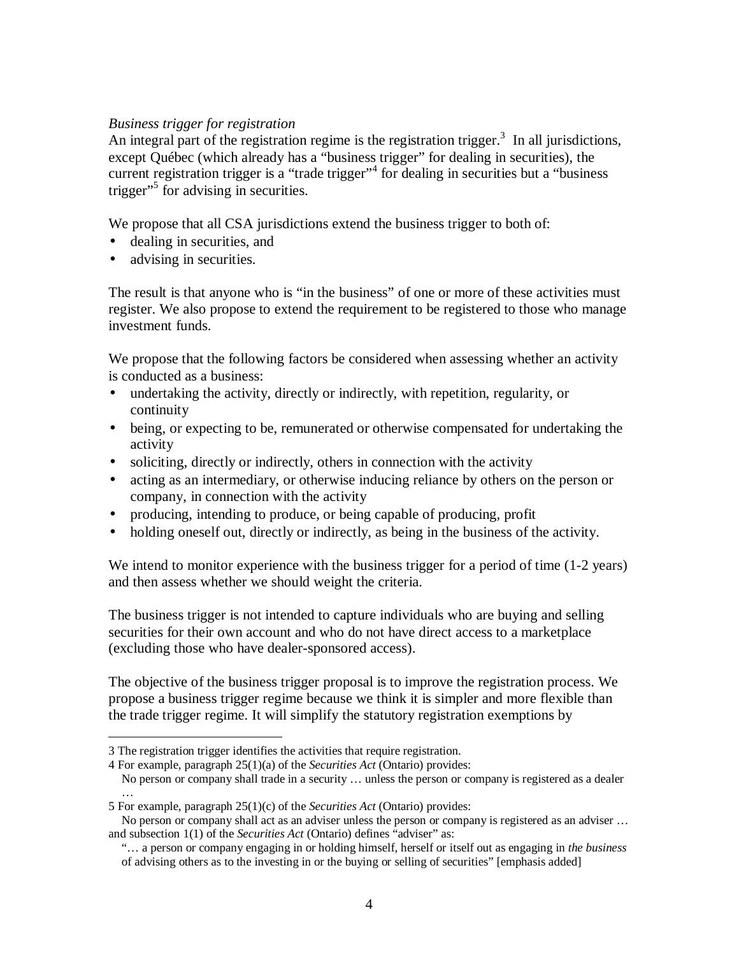## *Business trigger for registration*

An integral part of the registration regime is the registration trigger. $3$  In all jurisdictions, except Québec (which already has a "business trigger" for dealing in securities), the current registration trigger is a "trade trigger"<sup>4</sup> for dealing in securities but a "business trigger"<sup>5</sup> for advising in securities.

We propose that all CSA jurisdictions extend the business trigger to both of:

- dealing in securities, and
- advising in securities.

<u>.</u>

The result is that anyone who is "in the business" of one or more of these activities must register. We also propose to extend the requirement to be registered to those who manage investment funds.

We propose that the following factors be considered when assessing whether an activity is conducted as a business:

- undertaking the activity, directly or indirectly, with repetition, regularity, or continuity
- being, or expecting to be, remunerated or otherwise compensated for undertaking the activity
- soliciting, directly or indirectly, others in connection with the activity
- acting as an intermediary, or otherwise inducing reliance by others on the person or company, in connection with the activity
- producing, intending to produce, or being capable of producing, profit
- holding oneself out, directly or indirectly, as being in the business of the activity.

We intend to monitor experience with the business trigger for a period of time (1-2 years) and then assess whether we should weight the criteria.

The business trigger is not intended to capture individuals who are buying and selling securities for their own account and who do not have direct access to a marketplace (excluding those who have dealer-sponsored access).

The objective of the business trigger proposal is to improve the registration process. We propose a business trigger regime because we think it is simpler and more flexible than the trade trigger regime. It will simplify the statutory registration exemptions by

No person or company shall trade in a security … unless the person or company is registered as a dealer

<sup>3</sup> The registration trigger identifies the activities that require registration.

<sup>4</sup> For example, paragraph 25(1)(a) of the *Securities Act* (Ontario) provides:

<sup>…</sup>  5 For example, paragraph 25(1)(c) of the *Securities Act* (Ontario) provides:

No person or company shall act as an adviser unless the person or company is registered as an adviser ... and subsection 1(1) of the *Securities Act* (Ontario) defines "adviser" as:

<sup>&</sup>quot;… a person or company engaging in or holding himself, herself or itself out as engaging in *the business* of advising others as to the investing in or the buying or selling of securities" [emphasis added]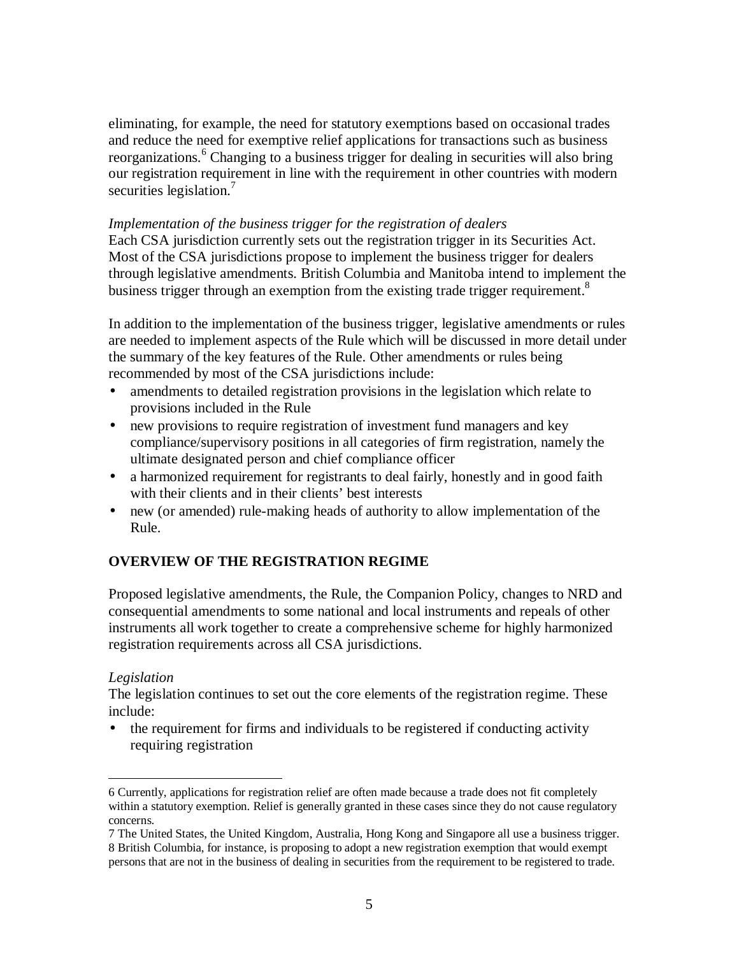<span id="page-4-0"></span>eliminating, for example, the need for statutory exemptions based on occasional trades and reduce the need for exemptive relief applications for transactions such as business reorganizations.<sup>6</sup> Changing to a business trigger for dealing in securities will also bring our registration requirement in line with the requirement in other countries with modern securities legislation.<sup>7</sup>

#### *Implementation of the business trigger for the registration of dealers*

Each CSA jurisdiction currently sets out the registration trigger in its Securities Act. Most of the CSA jurisdictions propose to implement the business trigger for dealers through legislative amendments. British Columbia and Manitoba intend to implement the business trigger through an exemption from the existing trade trigger requirement.<sup>8</sup>

In addition to the implementation of the business trigger, legislative amendments or rules are needed to implement aspects of the Rule which will be discussed in more detail under the summary of the key features of the Rule. Other amendments or rules being recommended by most of the CSA jurisdictions include:

- amendments to detailed registration provisions in the legislation which relate to provisions included in the Rule
- new provisions to require registration of investment fund managers and key compliance/supervisory positions in all categories of firm registration, namely the ultimate designated person and chief compliance officer
- a harmonized requirement for registrants to deal fairly, honestly and in good faith with their clients and in their clients' best interests
- new (or amended) rule-making heads of authority to allow implementation of the Rule.

## **OVERVIEW OF THE REGISTRATION REGIME**

Proposed legislative amendments, the Rule, the Companion Policy, changes to NRD and consequential amendments to some national and local instruments and repeals of other instruments all work together to create a comprehensive scheme for highly harmonized registration requirements across all CSA jurisdictions.

#### *Legislation*

-

The legislation continues to set out the core elements of the registration regime. These include:

• the requirement for firms and individuals to be registered if conducting activity requiring registration

<sup>6</sup> Currently, applications for registration relief are often made because a trade does not fit completely within a statutory exemption. Relief is generally granted in these cases since they do not cause regulatory concerns.

<sup>7</sup> The United States, the United Kingdom, Australia, Hong Kong and Singapore all use a business trigger. 8 British Columbia, for instance, is proposing to adopt a new registration exemption that would exempt persons that are not in the business of dealing in securities from the requirement to be registered to trade.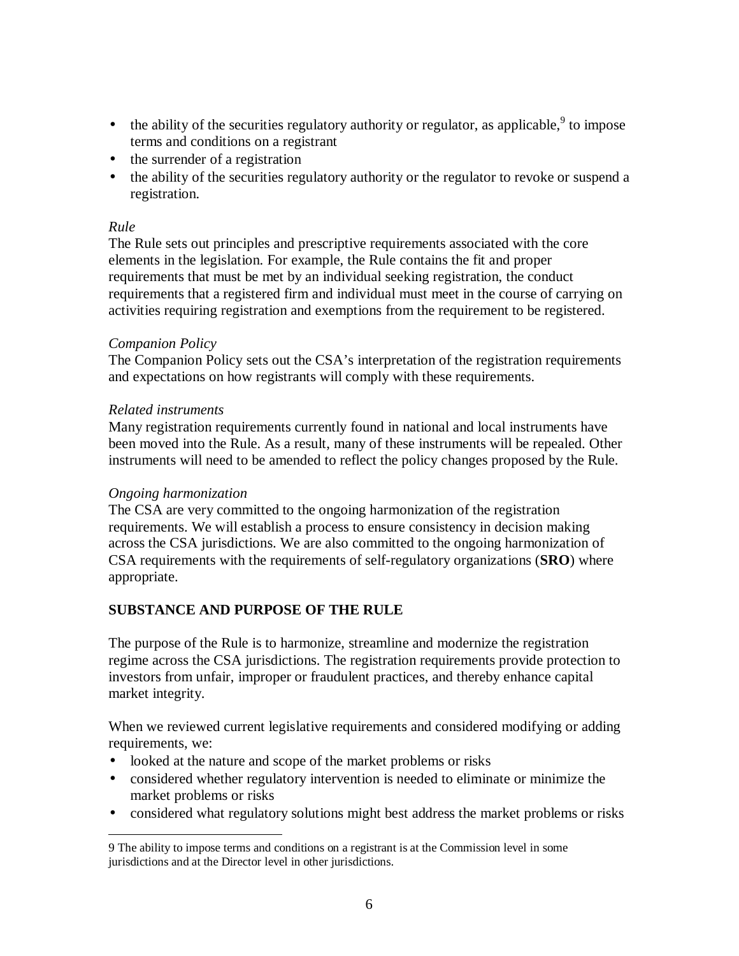- <span id="page-5-0"></span>• the ability of the securities regulatory authority or regulator, as applicable,  $9$  to impose terms and conditions on a registrant
- the surrender of a registration
- the ability of the securities regulatory authority or the regulator to revoke or suspend a registration.

# *Rule*

The Rule sets out principles and prescriptive requirements associated with the core elements in the legislation. For example, the Rule contains the fit and proper requirements that must be met by an individual seeking registration, the conduct requirements that a registered firm and individual must meet in the course of carrying on activities requiring registration and exemptions from the requirement to be registered.

## *Companion Policy*

The Companion Policy sets out the CSA's interpretation of the registration requirements and expectations on how registrants will comply with these requirements.

# *Related instruments*

Many registration requirements currently found in national and local instruments have been moved into the Rule. As a result, many of these instruments will be repealed. Other instruments will need to be amended to reflect the policy changes proposed by the Rule.

# *Ongoing harmonization*

The CSA are very committed to the ongoing harmonization of the registration requirements. We will establish a process to ensure consistency in decision making across the CSA jurisdictions. We are also committed to the ongoing harmonization of CSA requirements with the requirements of self-regulatory organizations (**SRO**) where appropriate.

# **SUBSTANCE AND PURPOSE OF THE RULE**

The purpose of the Rule is to harmonize, streamline and modernize the registration regime across the CSA jurisdictions. The registration requirements provide protection to investors from unfair, improper or fraudulent practices, and thereby enhance capital market integrity.

When we reviewed current legislative requirements and considered modifying or adding requirements, we:

- looked at the nature and scope of the market problems or risks
- considered whether regulatory intervention is needed to eliminate or minimize the market problems or risks
- considered what regulatory solutions might best address the market problems or risks

<sup>&</sup>lt;u>.</u> 9 The ability to impose terms and conditions on a registrant is at the Commission level in some jurisdictions and at the Director level in other jurisdictions.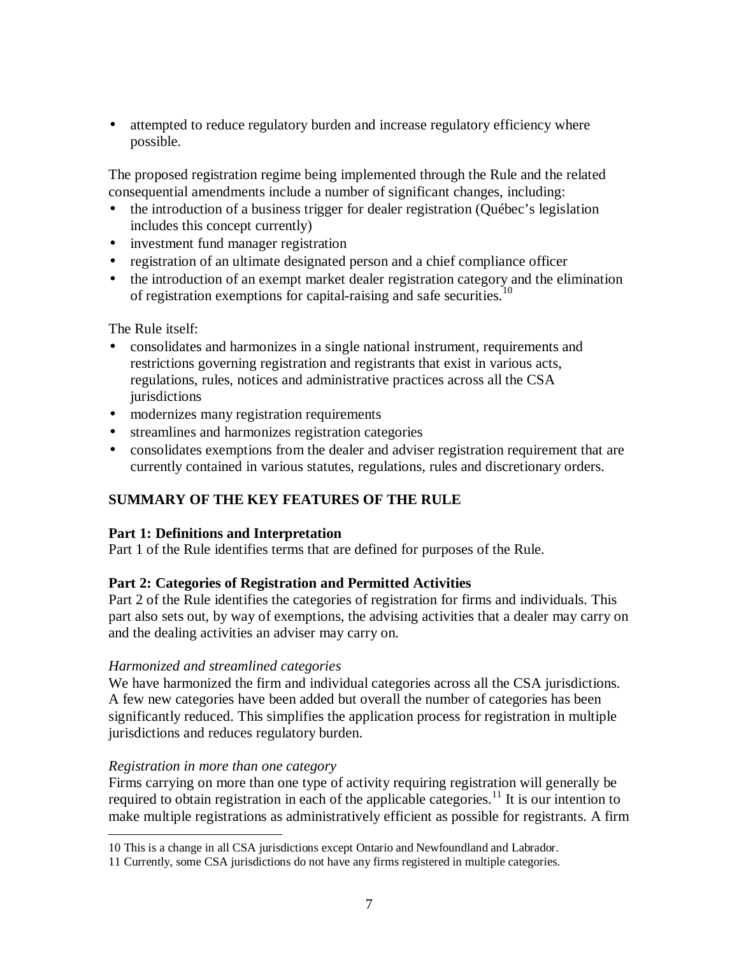<span id="page-6-0"></span>• attempted to reduce regulatory burden and increase regulatory efficiency where possible.

The proposed registration regime being implemented through the Rule and the related consequential amendments include a number of significant changes, including:

- the introduction of a business trigger for dealer registration (Ouébec's legislation includes this concept currently)
- investment fund manager registration
- registration of an ultimate designated person and a chief compliance officer
- the introduction of an exempt market dealer registration category and the elimination of registration exemptions for capital-raising and safe securities.<sup>1</sup>

The Rule itself:

- consolidates and harmonizes in a single national instrument, requirements and restrictions governing registration and registrants that exist in various acts, regulations, rules, notices and administrative practices across all the CSA jurisdictions
- modernizes many registration requirements
- streamlines and harmonizes registration categories
- consolidates exemptions from the dealer and adviser registration requirement that are currently contained in various statutes, regulations, rules and discretionary orders.

# **SUMMARY OF THE KEY FEATURES OF THE RULE**

## **Part 1: Definitions and Interpretation**

Part 1 of the Rule identifies terms that are defined for purposes of the Rule.

## **Part 2: Categories of Registration and Permitted Activities**

Part 2 of the Rule identifies the categories of registration for firms and individuals. This part also sets out, by way of exemptions, the advising activities that a dealer may carry on and the dealing activities an adviser may carry on.

## *Harmonized and streamlined categories*

We have harmonized the firm and individual categories across all the CSA jurisdictions. A few new categories have been added but overall the number of categories has been significantly reduced. This simplifies the application process for registration in multiple jurisdictions and reduces regulatory burden.

## *Registration in more than one category*

Firms carrying on more than one type of activity requiring registration will generally be required to obtain registration in each of the applicable categories.<sup>11</sup> It is our intention to make multiple registrations as administratively efficient as possible for registrants. A firm

<sup>&</sup>lt;u>.</u> 10 This is a change in all CSA jurisdictions except Ontario and Newfoundland and Labrador.

<sup>11</sup> Currently, some CSA jurisdictions do not have any firms registered in multiple categories.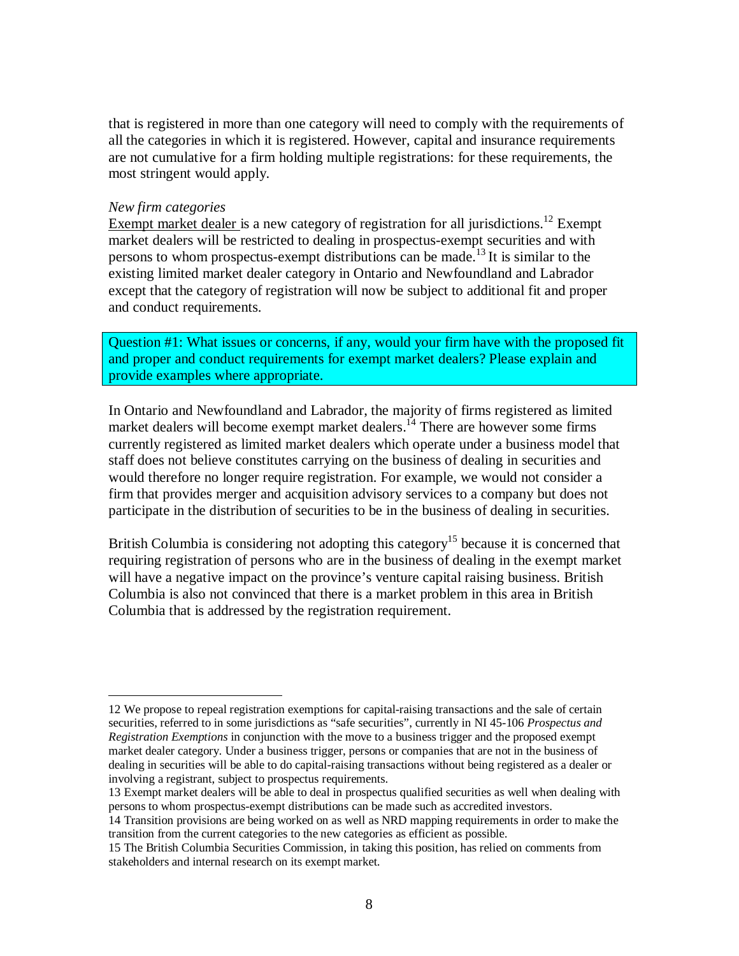that is registered in more than one category will need to comply with the requirements of all the categories in which it is registered. However, capital and insurance requirements are not cumulative for a firm holding multiple registrations: for these requirements, the most stringent would apply.

#### *New firm categories*

<u>.</u>

Exempt market dealer is a new category of registration for all jurisdictions.<sup>12</sup> Exempt market dealers will be restricted to dealing in prospectus-exempt securities and with persons to whom prospectus-exempt distributions can be made.<sup>13</sup> It is similar to the existing limited market dealer category in Ontario and Newfoundland and Labrador except that the category of registration will now be subject to additional fit and proper and conduct requirements.

Question #1: What issues or concerns, if any, would your firm have with the proposed fit and proper and conduct requirements for exempt market dealers? Please explain and provide examples where appropriate.

In Ontario and Newfoundland and Labrador, the majority of firms registered as limited market dealers will become exempt market dealers.<sup> $14$ </sup> There are however some firms currently registered as limited market dealers which operate under a business model that staff does not believe constitutes carrying on the business of dealing in securities and would therefore no longer require registration. For example, we would not consider a firm that provides merger and acquisition advisory services to a company but does not participate in the distribution of securities to be in the business of dealing in securities.

British Columbia is considering not adopting this category<sup>15</sup> because it is concerned that requiring registration of persons who are in the business of dealing in the exempt market will have a negative impact on the province's venture capital raising business. British Columbia is also not convinced that there is a market problem in this area in British Columbia that is addressed by the registration requirement.

<sup>12</sup> We propose to repeal registration exemptions for capital-raising transactions and the sale of certain securities, referred to in some jurisdictions as "safe securities", currently in NI 45-106 *Prospectus and Registration Exemptions* in conjunction with the move to a business trigger and the proposed exempt market dealer category. Under a business trigger, persons or companies that are not in the business of dealing in securities will be able to do capital-raising transactions without being registered as a dealer or involving a registrant, subject to prospectus requirements.

<sup>13</sup> Exempt market dealers will be able to deal in prospectus qualified securities as well when dealing with persons to whom prospectus-exempt distributions can be made such as accredited investors.

<sup>14</sup> Transition provisions are being worked on as well as NRD mapping requirements in order to make the transition from the current categories to the new categories as efficient as possible.

<sup>15</sup> The British Columbia Securities Commission, in taking this position, has relied on comments from stakeholders and internal research on its exempt market.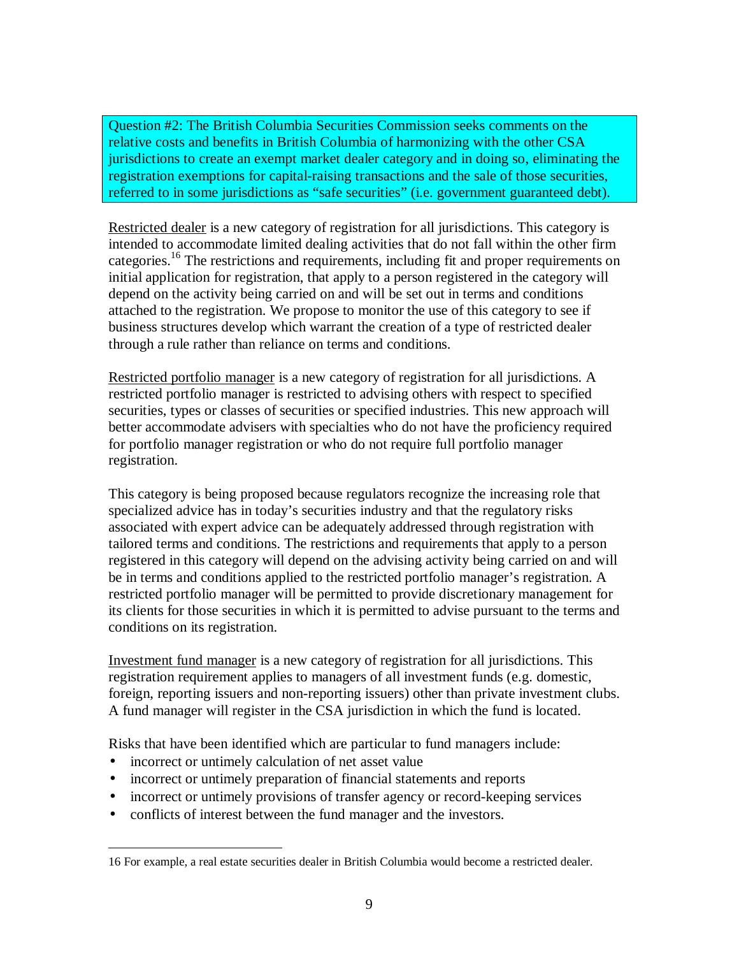Question #2: The British Columbia Securities Commission seeks comments on the relative costs and benefits in British Columbia of harmonizing with the other CSA jurisdictions to create an exempt market dealer category and in doing so, eliminating the registration exemptions for capital-raising transactions and the sale of those securities, referred to in some jurisdictions as "safe securities" (i.e. government guaranteed debt).

Restricted dealer is a new category of registration for all jurisdictions. This category is intended to accommodate limited dealing activities that do not fall within the other firm categories.<sup>16</sup> The restrictions and requirements, including fit and proper requirements on initial application for registration, that apply to a person registered in the category will depend on the activity being carried on and will be set out in terms and conditions attached to the registration. We propose to monitor the use of this category to see if business structures develop which warrant the creation of a type of restricted dealer through a rule rather than reliance on terms and conditions.

Restricted portfolio manager is a new category of registration for all jurisdictions. A restricted portfolio manager is restricted to advising others with respect to specified securities, types or classes of securities or specified industries. This new approach will better accommodate advisers with specialties who do not have the proficiency required for portfolio manager registration or who do not require full portfolio manager registration.

This category is being proposed because regulators recognize the increasing role that specialized advice has in today's securities industry and that the regulatory risks associated with expert advice can be adequately addressed through registration with tailored terms and conditions. The restrictions and requirements that apply to a person registered in this category will depend on the advising activity being carried on and will be in terms and conditions applied to the restricted portfolio manager's registration. A restricted portfolio manager will be permitted to provide discretionary management for its clients for those securities in which it is permitted to advise pursuant to the terms and conditions on its registration.

Investment fund manager is a new category of registration for all jurisdictions. This registration requirement applies to managers of all investment funds (e.g. domestic, foreign, reporting issuers and non-reporting issuers) other than private investment clubs. A fund manager will register in the CSA jurisdiction in which the fund is located.

Risks that have been identified which are particular to fund managers include:

• incorrect or untimely calculation of net asset value

<u>.</u>

- incorrect or untimely preparation of financial statements and reports
- incorrect or untimely provisions of transfer agency or record-keeping services
- conflicts of interest between the fund manager and the investors.

<sup>16</sup> For example, a real estate securities dealer in British Columbia would become a restricted dealer.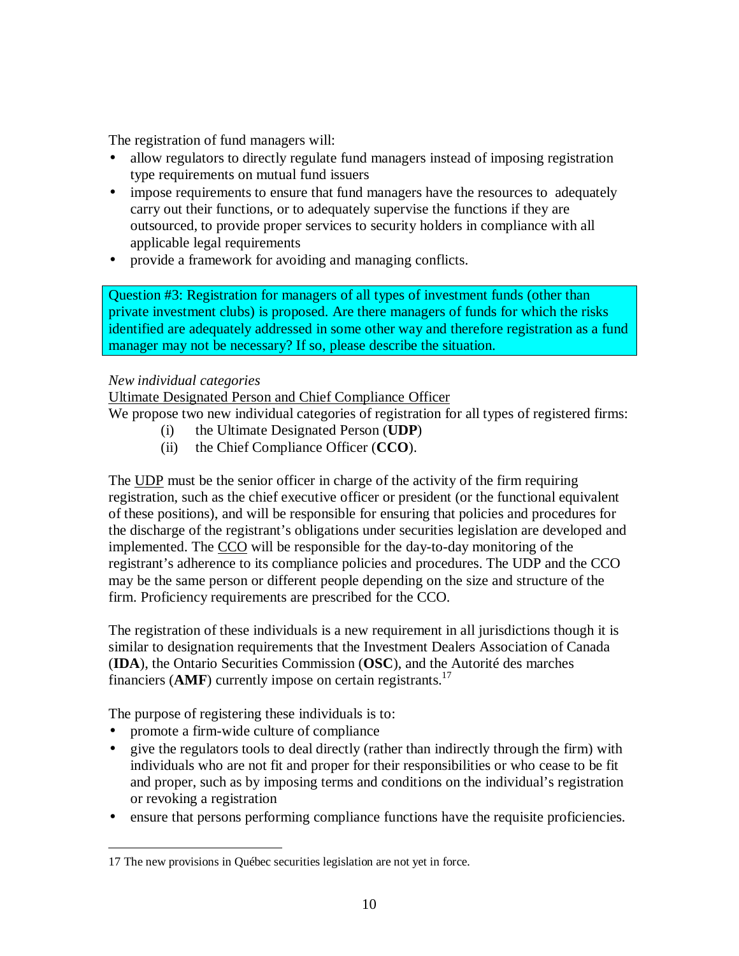The registration of fund managers will:

- allow regulators to directly regulate fund managers instead of imposing registration type requirements on mutual fund issuers
- impose requirements to ensure that fund managers have the resources to adequately carry out their functions, or to adequately supervise the functions if they are outsourced, to provide proper services to security holders in compliance with all applicable legal requirements
- provide a framework for avoiding and managing conflicts.

Question #3: Registration for managers of all types of investment funds (other than private investment clubs) is proposed. Are there managers of funds for which the risks identified are adequately addressed in some other way and therefore registration as a fund manager may not be necessary? If so, please describe the situation.

# *New individual categories*

Ultimate Designated Person and Chief Compliance Officer

We propose two new individual categories of registration for all types of registered firms:

- (i) the Ultimate Designated Person (**UDP**)
- (ii) the Chief Compliance Officer (**CCO**).

The UDP must be the senior officer in charge of the activity of the firm requiring registration, such as the chief executive officer or president (or the functional equivalent of these positions), and will be responsible for ensuring that policies and procedures for the discharge of the registrant's obligations under securities legislation are developed and implemented. The CCO will be responsible for the day-to-day monitoring of the registrant's adherence to its compliance policies and procedures. The UDP and the CCO may be the same person or different people depending on the size and structure of the firm. Proficiency requirements are prescribed for the CCO.

The registration of these individuals is a new requirement in all jurisdictions though it is similar to designation requirements that the Investment Dealers Association of Canada (**IDA**), the Ontario Securities Commission (**OSC**), and the Autorité des marches financiers (AMF) currently impose on certain registrants.<sup>17</sup>

The purpose of registering these individuals is to:

- promote a firm-wide culture of compliance
- give the regulators tools to deal directly (rather than indirectly through the firm) with individuals who are not fit and proper for their responsibilities or who cease to be fit and proper, such as by imposing terms and conditions on the individual's registration or revoking a registration
- ensure that persons performing compliance functions have the requisite proficiencies.

<sup>&</sup>lt;u>.</u> 17 The new provisions in Québec securities legislation are not yet in force.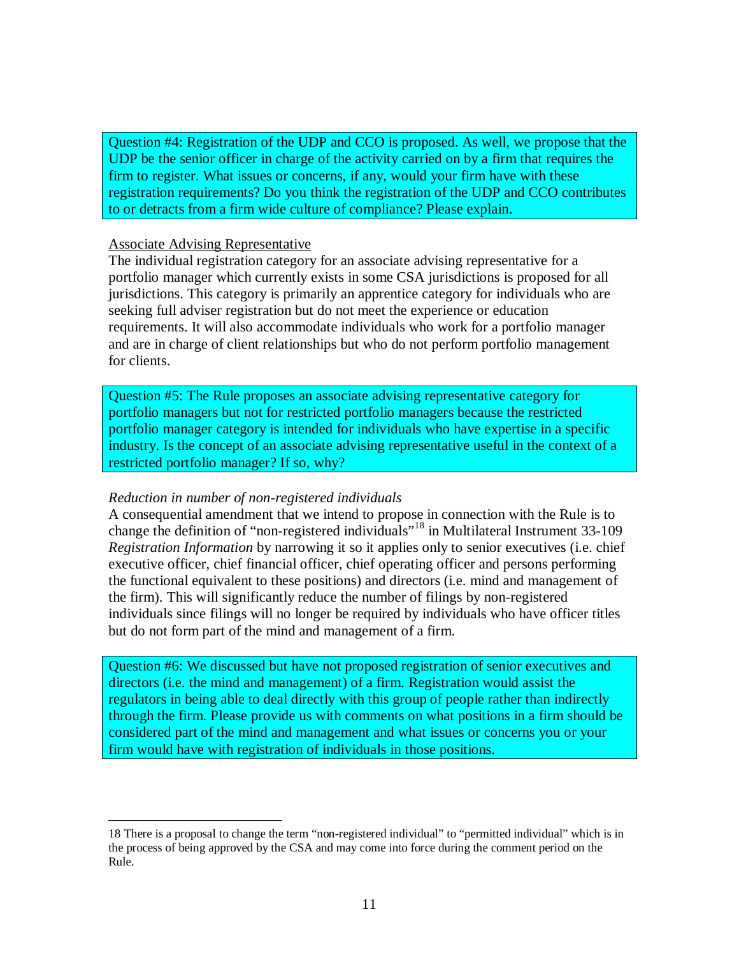Question #4: Registration of the UDP and CCO is proposed. As well, we propose that the UDP be the senior officer in charge of the activity carried on by a firm that requires the firm to register. What issues or concerns, if any, would your firm have with these registration requirements? Do you think the registration of the UDP and CCO contributes to or detracts from a firm wide culture of compliance? Please explain.

#### Associate Advising Representative

The individual registration category for an associate advising representative for a portfolio manager which currently exists in some CSA jurisdictions is proposed for all jurisdictions. This category is primarily an apprentice category for individuals who are seeking full adviser registration but do not meet the experience or education requirements. It will also accommodate individuals who work for a portfolio manager and are in charge of client relationships but who do not perform portfolio management for clients.

Question #5: The Rule proposes an associate advising representative category for portfolio managers but not for restricted portfolio managers because the restricted portfolio manager category is intended for individuals who have expertise in a specific industry. Is the concept of an associate advising representative useful in the context of a restricted portfolio manager? If so, why?

#### *Reduction in number of non-registered individuals*

-

A consequential amendment that we intend to propose in connection with the Rule is to change the definition of "non-registered individuals"<sup>18</sup> in Multilateral Instrument 33-109 *Registration Information* by narrowing it so it applies only to senior executives (i.e. chief executive officer, chief financial officer, chief operating officer and persons performing the functional equivalent to these positions) and directors (i.e. mind and management of the firm). This will significantly reduce the number of filings by non-registered individuals since filings will no longer be required by individuals who have officer titles but do not form part of the mind and management of a firm.

Question #6: We discussed but have not proposed registration of senior executives and directors (i.e. the mind and management) of a firm. Registration would assist the regulators in being able to deal directly with this group of people rather than indirectly through the firm. Please provide us with comments on what positions in a firm should be considered part of the mind and management and what issues or concerns you or your firm would have with registration of individuals in those positions.

<sup>18</sup> There is a proposal to change the term "non-registered individual" to "permitted individual" which is in the process of being approved by the CSA and may come into force during the comment period on the Rule.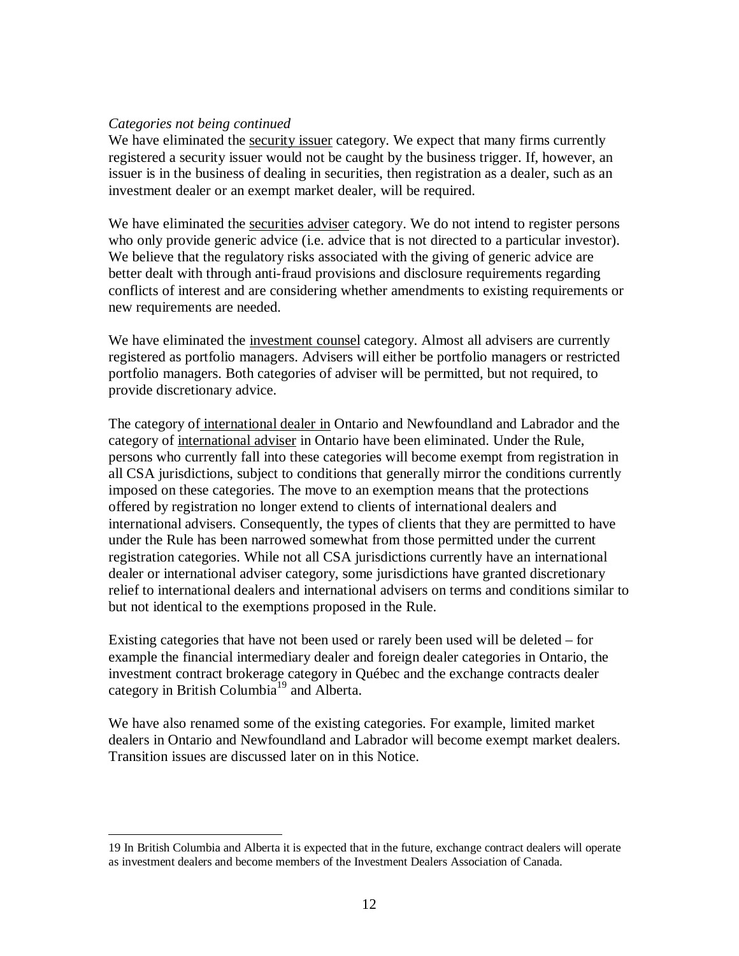#### *Categories not being continued*

<u>.</u>

We have eliminated the security issuer category. We expect that many firms currently registered a security issuer would not be caught by the business trigger. If, however, an issuer is in the business of dealing in securities, then registration as a dealer, such as an investment dealer or an exempt market dealer, will be required.

We have eliminated the securities adviser category. We do not intend to register persons who only provide generic advice (i.e. advice that is not directed to a particular investor). We believe that the regulatory risks associated with the giving of generic advice are better dealt with through anti-fraud provisions and disclosure requirements regarding conflicts of interest and are considering whether amendments to existing requirements or new requirements are needed.

We have eliminated the investment counsel category. Almost all advisers are currently registered as portfolio managers. Advisers will either be portfolio managers or restricted portfolio managers. Both categories of adviser will be permitted, but not required, to provide discretionary advice.

The category of international dealer in Ontario and Newfoundland and Labrador and the category of international adviser in Ontario have been eliminated. Under the Rule, persons who currently fall into these categories will become exempt from registration in all CSA jurisdictions, subject to conditions that generally mirror the conditions currently imposed on these categories. The move to an exemption means that the protections offered by registration no longer extend to clients of international dealers and international advisers. Consequently, the types of clients that they are permitted to have under the Rule has been narrowed somewhat from those permitted under the current registration categories. While not all CSA jurisdictions currently have an international dealer or international adviser category, some jurisdictions have granted discretionary relief to international dealers and international advisers on terms and conditions similar to but not identical to the exemptions proposed in the Rule.

Existing categories that have not been used or rarely been used will be deleted – for example the financial intermediary dealer and foreign dealer categories in Ontario, the investment contract brokerage category in Québec and the exchange contracts dealer category in British Columbia<sup>19</sup> and Alberta.

We have also renamed some of the existing categories. For example, limited market dealers in Ontario and Newfoundland and Labrador will become exempt market dealers. Transition issues are discussed later on in this Notice.

<sup>19</sup> In British Columbia and Alberta it is expected that in the future, exchange contract dealers will operate as investment dealers and become members of the Investment Dealers Association of Canada.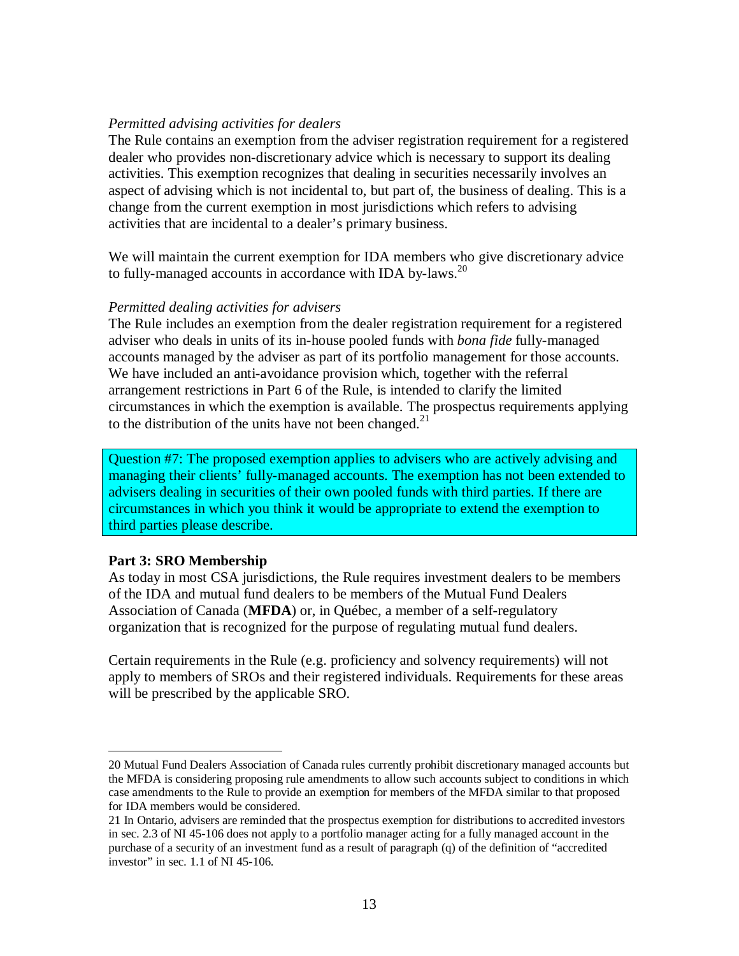#### *Permitted advising activities for dealers*

The Rule contains an exemption from the adviser registration requirement for a registered dealer who provides non-discretionary advice which is necessary to support its dealing activities. This exemption recognizes that dealing in securities necessarily involves an aspect of advising which is not incidental to, but part of, the business of dealing. This is a change from the current exemption in most jurisdictions which refers to advising activities that are incidental to a dealer's primary business.

We will maintain the current exemption for IDA members who give discretionary advice to fully-managed accounts in accordance with IDA by-laws.<sup>20</sup>

#### *Permitted dealing activities for advisers*

The Rule includes an exemption from the dealer registration requirement for a registered adviser who deals in units of its in-house pooled funds with *bona fide* fully-managed accounts managed by the adviser as part of its portfolio management for those accounts. We have included an anti-avoidance provision which, together with the referral arrangement restrictions in Part 6 of the Rule, is intended to clarify the limited circumstances in which the exemption is available. The prospectus requirements applying to the distribution of the units have not been changed. $21$ 

Question #7: The proposed exemption applies to advisers who are actively advising and managing their clients' fully-managed accounts. The exemption has not been extended to advisers dealing in securities of their own pooled funds with third parties. If there are circumstances in which you think it would be appropriate to extend the exemption to third parties please describe.

#### **Part 3: SRO Membership**

<u>.</u>

As today in most CSA jurisdictions, the Rule requires investment dealers to be members of the IDA and mutual fund dealers to be members of the Mutual Fund Dealers Association of Canada (**MFDA**) or, in Québec, a member of a self-regulatory organization that is recognized for the purpose of regulating mutual fund dealers.

Certain requirements in the Rule (e.g. proficiency and solvency requirements) will not apply to members of SROs and their registered individuals. Requirements for these areas will be prescribed by the applicable SRO.

<sup>20</sup> Mutual Fund Dealers Association of Canada rules currently prohibit discretionary managed accounts but the MFDA is considering proposing rule amendments to allow such accounts subject to conditions in which case amendments to the Rule to provide an exemption for members of the MFDA similar to that proposed for IDA members would be considered.

<sup>21</sup> In Ontario, advisers are reminded that the prospectus exemption for distributions to accredited investors in sec. 2.3 of NI 45-106 does not apply to a portfolio manager acting for a fully managed account in the purchase of a security of an investment fund as a result of paragraph (q) of the definition of "accredited investor" in sec. 1.1 of NI 45-106.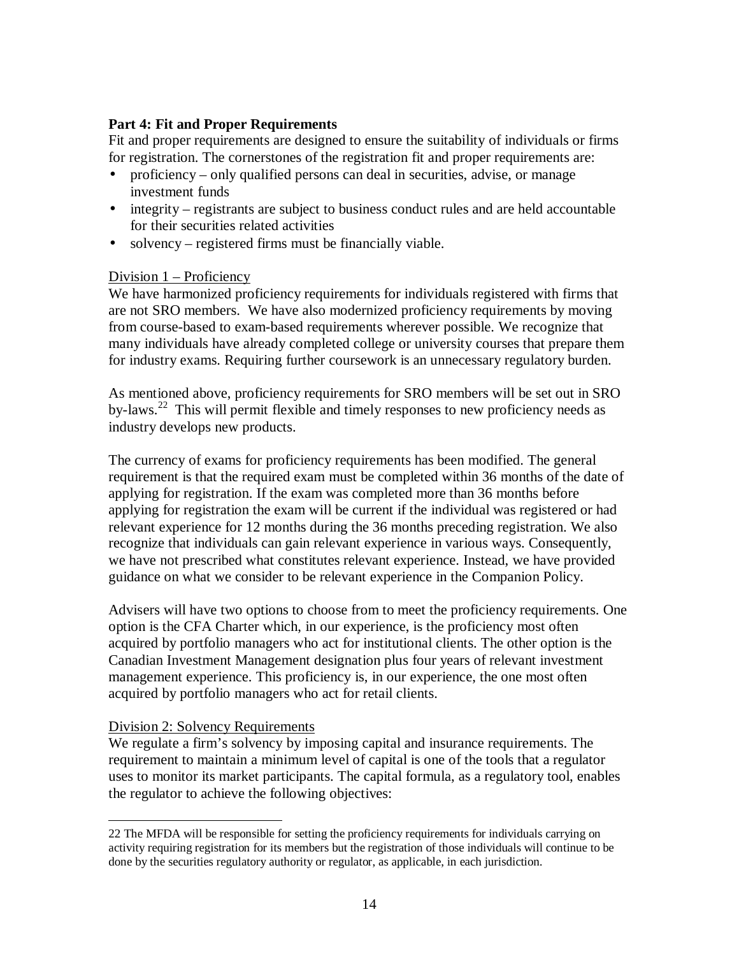# <span id="page-13-0"></span>**Part 4: Fit and Proper Requirements**

Fit and proper requirements are designed to ensure the suitability of individuals or firms for registration. The cornerstones of the registration fit and proper requirements are:

- proficiency only qualified persons can deal in securities, advise, or manage investment funds
- integrity registrants are subject to business conduct rules and are held accountable for their securities related activities
- solvency registered firms must be financially viable.

# Division 1 – Proficiency

We have harmonized proficiency requirements for individuals registered with firms that are not SRO members. We have also modernized proficiency requirements by moving from course-based to exam-based requirements wherever possible. We recognize that many individuals have already completed college or university courses that prepare them for industry exams. Requiring further coursework is an unnecessary regulatory burden.

As mentioned above, proficiency requirements for SRO members will be set out in SRO by-laws.<sup>22</sup> This will permit flexible and timely responses to new proficiency needs as industry develops new products.

The currency of exams for proficiency requirements has been modified. The general requirement is that the required exam must be completed within 36 months of the date of applying for registration. If the exam was completed more than 36 months before applying for registration the exam will be current if the individual was registered or had relevant experience for 12 months during the 36 months preceding registration. We also recognize that individuals can gain relevant experience in various ways. Consequently, we have not prescribed what constitutes relevant experience. Instead, we have provided guidance on what we consider to be relevant experience in the Companion Policy.

Advisers will have two options to choose from to meet the proficiency requirements. One option is the CFA Charter which, in our experience, is the proficiency most often acquired by portfolio managers who act for institutional clients. The other option is the Canadian Investment Management designation plus four years of relevant investment management experience. This proficiency is, in our experience, the one most often acquired by portfolio managers who act for retail clients.

## Division 2: Solvency Requirements

-

We regulate a firm's solvency by imposing capital and insurance requirements. The requirement to maintain a minimum level of capital is one of the tools that a regulator uses to monitor its market participants. The capital formula, as a regulatory tool, enables the regulator to achieve the following objectives:

<sup>22</sup> The MFDA will be responsible for setting the proficiency requirements for individuals carrying on activity requiring registration for its members but the registration of those individuals will continue to be done by the securities regulatory authority or regulator, as applicable, in each jurisdiction.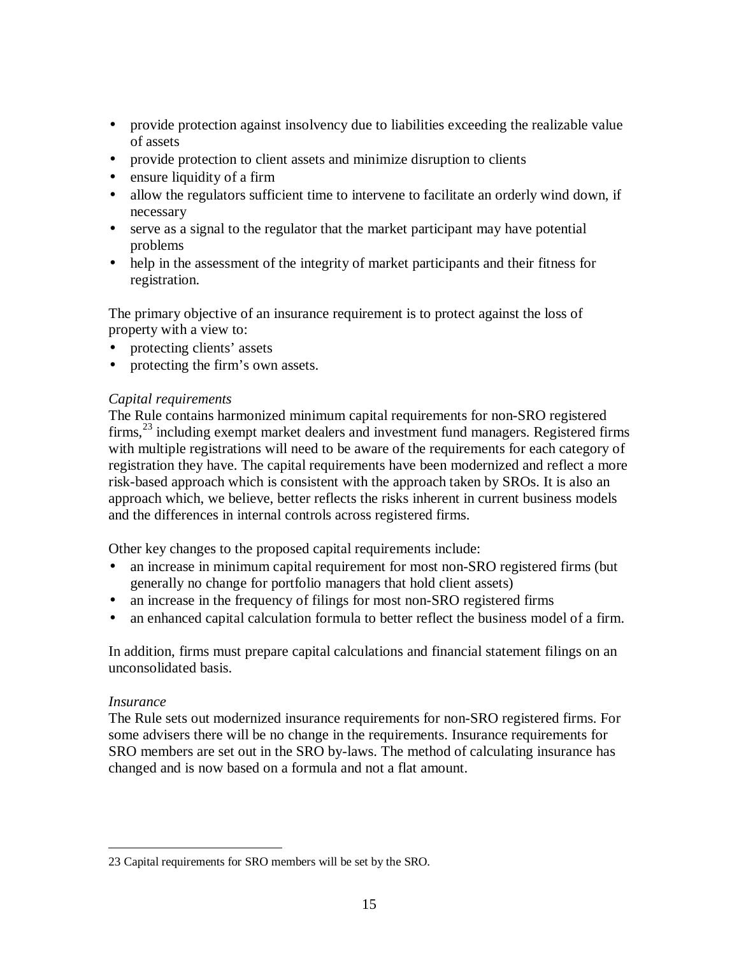- <span id="page-14-0"></span>• provide protection against insolvency due to liabilities exceeding the realizable value of assets
- provide protection to client assets and minimize disruption to clients
- ensure liquidity of a firm
- allow the regulators sufficient time to intervene to facilitate an orderly wind down, if necessary
- serve as a signal to the regulator that the market participant may have potential problems
- help in the assessment of the integrity of market participants and their fitness for registration.

The primary objective of an insurance requirement is to protect against the loss of property with a view to:

- protecting clients' assets
- protecting the firm's own assets.

# *Capital requirements*

The Rule contains harmonized minimum capital requirements for non-SRO registered  $firms$ ,  $^{23}$  including exempt market dealers and investment fund managers. Registered firms with multiple registrations will need to be aware of the requirements for each category of registration they have. The capital requirements have been modernized and reflect a more risk-based approach which is consistent with the approach taken by SROs. It is also an approach which, we believe, better reflects the risks inherent in current business models and the differences in internal controls across registered firms.

Other key changes to the proposed capital requirements include:

- an increase in minimum capital requirement for most non-SRO registered firms (but generally no change for portfolio managers that hold client assets)
- an increase in the frequency of filings for most non-SRO registered firms
- an enhanced capital calculation formula to better reflect the business model of a firm.

In addition, firms must prepare capital calculations and financial statement filings on an unconsolidated basis.

## *Insurance*

The Rule sets out modernized insurance requirements for non-SRO registered firms. For some advisers there will be no change in the requirements. Insurance requirements for SRO members are set out in the SRO by-laws. The method of calculating insurance has changed and is now based on a formula and not a flat amount.

<sup>&</sup>lt;u>.</u> 23 Capital requirements for SRO members will be set by the SRO.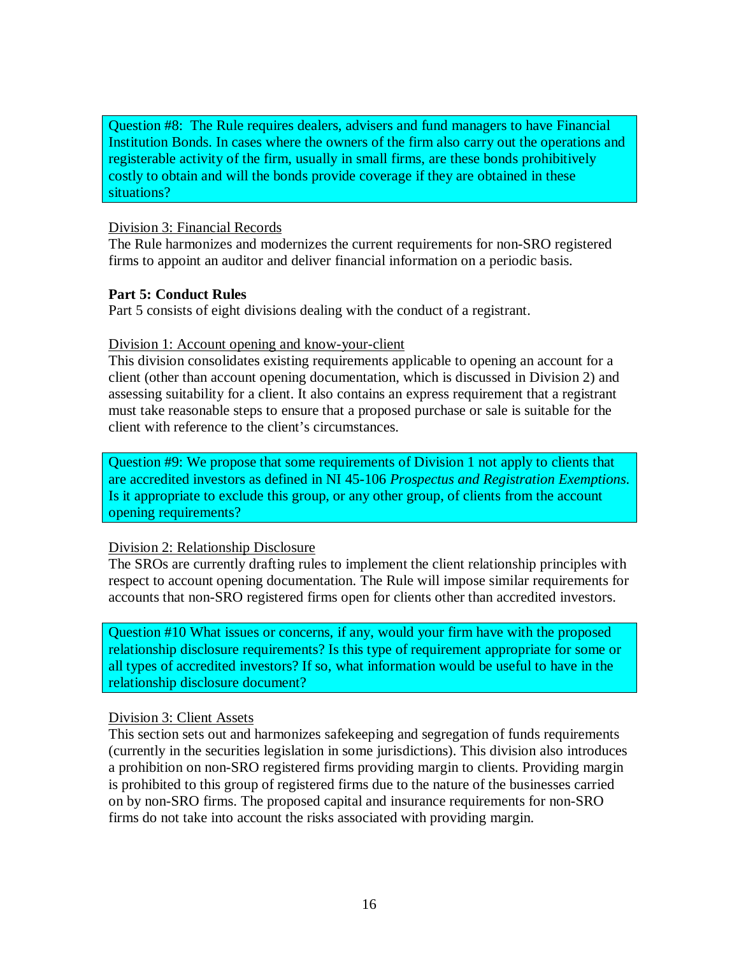Question #8: The Rule requires dealers, advisers and fund managers to have Financial Institution Bonds. In cases where the owners of the firm also carry out the operations and registerable activity of the firm, usually in small firms, are these bonds prohibitively costly to obtain and will the bonds provide coverage if they are obtained in these situations?

#### Division 3: Financial Records

The Rule harmonizes and modernizes the current requirements for non-SRO registered firms to appoint an auditor and deliver financial information on a periodic basis.

## **Part 5: Conduct Rules**

Part 5 consists of eight divisions dealing with the conduct of a registrant.

#### Division 1: Account opening and know-your-client

This division consolidates existing requirements applicable to opening an account for a client (other than account opening documentation, which is discussed in Division 2) and assessing suitability for a client. It also contains an express requirement that a registrant must take reasonable steps to ensure that a proposed purchase or sale is suitable for the client with reference to the client's circumstances.

Question #9: We propose that some requirements of Division 1 not apply to clients that are accredited investors as defined in NI 45-106 *Prospectus and Registration Exemptions*. Is it appropriate to exclude this group, or any other group, of clients from the account opening requirements?

## Division 2: Relationship Disclosure

The SROs are currently drafting rules to implement the client relationship principles with respect to account opening documentation. The Rule will impose similar requirements for accounts that non-SRO registered firms open for clients other than accredited investors.

Question #10 What issues or concerns, if any, would your firm have with the proposed relationship disclosure requirements? Is this type of requirement appropriate for some or all types of accredited investors? If so, what information would be useful to have in the relationship disclosure document?

#### Division 3: Client Assets

This section sets out and harmonizes safekeeping and segregation of funds requirements (currently in the securities legislation in some jurisdictions). This division also introduces a prohibition on non-SRO registered firms providing margin to clients. Providing margin is prohibited to this group of registered firms due to the nature of the businesses carried on by non-SRO firms. The proposed capital and insurance requirements for non-SRO firms do not take into account the risks associated with providing margin.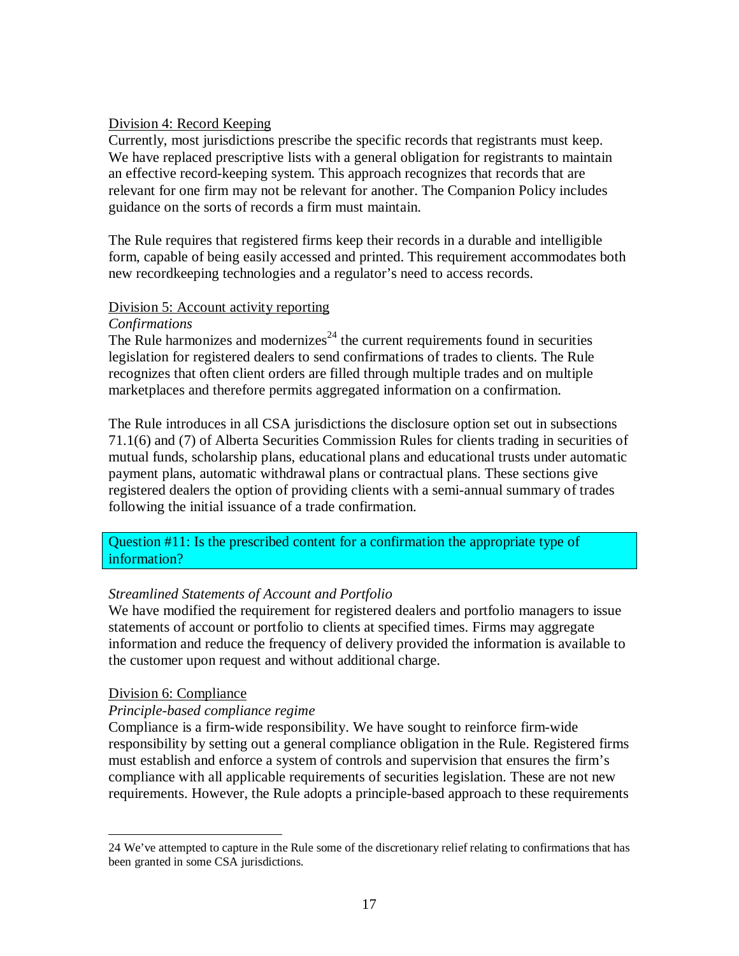## <span id="page-16-0"></span>Division 4: Record Keeping

Currently, most jurisdictions prescribe the specific records that registrants must keep. We have replaced prescriptive lists with a general obligation for registrants to maintain an effective record-keeping system. This approach recognizes that records that are relevant for one firm may not be relevant for another. The Companion Policy includes guidance on the sorts of records a firm must maintain.

The Rule requires that registered firms keep their records in a durable and intelligible form, capable of being easily accessed and printed. This requirement accommodates both new recordkeeping technologies and a regulator's need to access records.

## Division 5: Account activity reporting

## *Confirmations*

The Rule harmonizes and modernizes<sup> $24$ </sup> the current requirements found in securities legislation for registered dealers to send confirmations of trades to clients. The Rule recognizes that often client orders are filled through multiple trades and on multiple marketplaces and therefore permits aggregated information on a confirmation.

The Rule introduces in all CSA jurisdictions the disclosure option set out in subsections 71.1(6) and (7) of Alberta Securities Commission Rules for clients trading in securities of mutual funds, scholarship plans, educational plans and educational trusts under automatic payment plans, automatic withdrawal plans or contractual plans. These sections give registered dealers the option of providing clients with a semi-annual summary of trades following the initial issuance of a trade confirmation.

# Question #11: Is the prescribed content for a confirmation the appropriate type of information?

# *Streamlined Statements of Account and Portfolio*

We have modified the requirement for registered dealers and portfolio managers to issue statements of account or portfolio to clients at specified times. Firms may aggregate information and reduce the frequency of delivery provided the information is available to the customer upon request and without additional charge.

# Division 6: Compliance

# *Principle-based compliance regime*

Compliance is a firm-wide responsibility. We have sought to reinforce firm-wide responsibility by setting out a general compliance obligation in the Rule. Registered firms must establish and enforce a system of controls and supervision that ensures the firm's compliance with all applicable requirements of securities legislation. These are not new requirements. However, the Rule adopts a principle-based approach to these requirements

<sup>&</sup>lt;u>.</u> 24 We've attempted to capture in the Rule some of the discretionary relief relating to confirmations that has been granted in some CSA jurisdictions.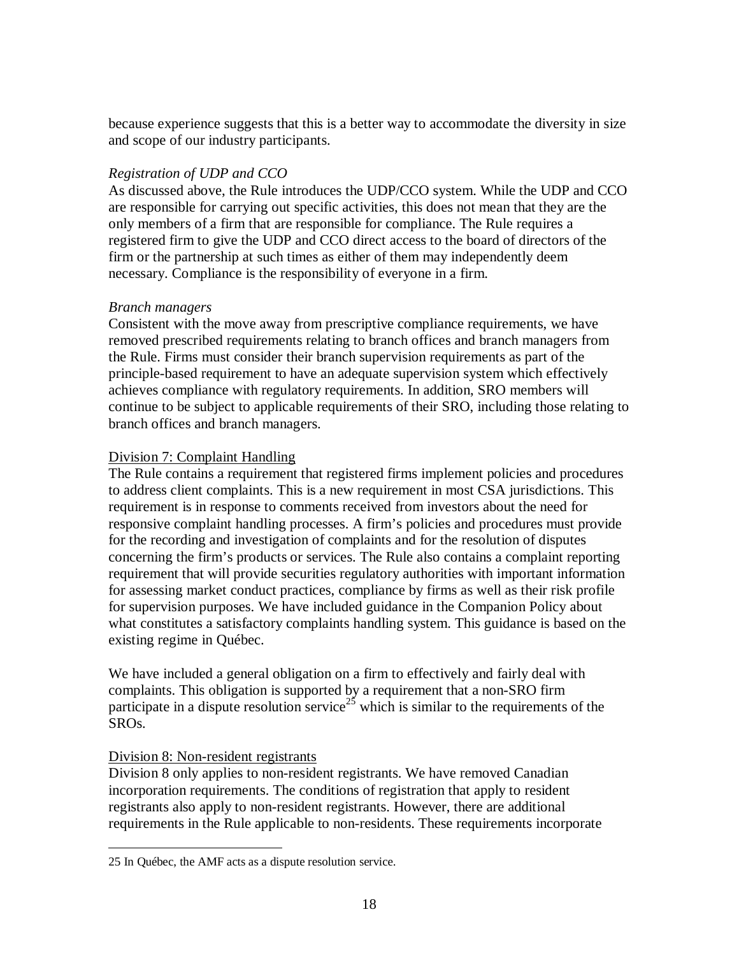because experience suggests that this is a better way to accommodate the diversity in size and scope of our industry participants.

# *Registration of UDP and CCO*

As discussed above, the Rule introduces the UDP/CCO system. While the UDP and CCO are responsible for carrying out specific activities, this does not mean that they are the only members of a firm that are responsible for compliance. The Rule requires a registered firm to give the UDP and CCO direct access to the board of directors of the firm or the partnership at such times as either of them may independently deem necessary. Compliance is the responsibility of everyone in a firm.

# *Branch managers*

Consistent with the move away from prescriptive compliance requirements, we have removed prescribed requirements relating to branch offices and branch managers from the Rule. Firms must consider their branch supervision requirements as part of the principle-based requirement to have an adequate supervision system which effectively achieves compliance with regulatory requirements. In addition, SRO members will continue to be subject to applicable requirements of their SRO, including those relating to branch offices and branch managers.

# Division 7: Complaint Handling

The Rule contains a requirement that registered firms implement policies and procedures to address client complaints. This is a new requirement in most CSA jurisdictions. This requirement is in response to comments received from investors about the need for responsive complaint handling processes. A firm's policies and procedures must provide for the recording and investigation of complaints and for the resolution of disputes concerning the firm's products or services. The Rule also contains a complaint reporting requirement that will provide securities regulatory authorities with important information for assessing market conduct practices, compliance by firms as well as their risk profile for supervision purposes. We have included guidance in the Companion Policy about what constitutes a satisfactory complaints handling system. This guidance is based on the existing regime in Québec.

We have included a general obligation on a firm to effectively and fairly deal with complaints. This obligation is supported by a requirement that a non-SRO firm participate in a dispute resolution service<sup>25</sup> which is similar to the requirements of the SROs.

# Division 8: Non-resident registrants

Division 8 only applies to non-resident registrants. We have removed Canadian incorporation requirements. The conditions of registration that apply to resident registrants also apply to non-resident registrants. However, there are additional requirements in the Rule applicable to non-residents. These requirements incorporate

<sup>&</sup>lt;u>.</u> 25 In Québec, the AMF acts as a dispute resolution service.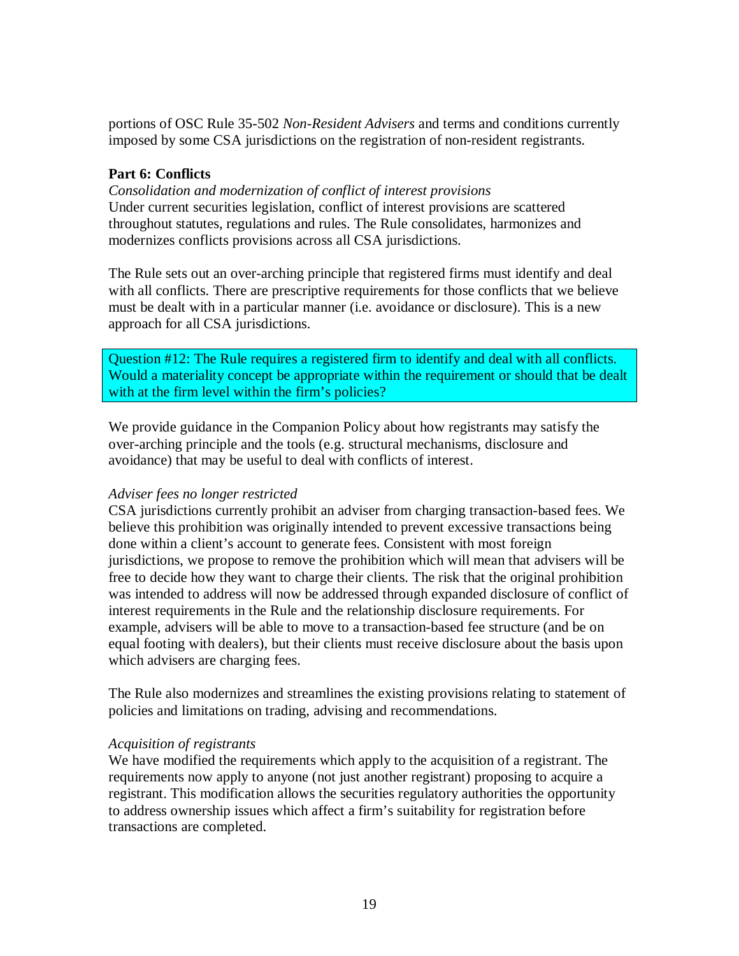portions of OSC Rule 35-502 *Non-Resident Advisers* and terms and conditions currently imposed by some CSA jurisdictions on the registration of non-resident registrants.

# **Part 6: Conflicts**

*Consolidation and modernization of conflict of interest provisions* Under current securities legislation, conflict of interest provisions are scattered throughout statutes, regulations and rules. The Rule consolidates, harmonizes and modernizes conflicts provisions across all CSA jurisdictions.

The Rule sets out an over-arching principle that registered firms must identify and deal with all conflicts. There are prescriptive requirements for those conflicts that we believe must be dealt with in a particular manner (i.e. avoidance or disclosure). This is a new approach for all CSA jurisdictions.

Question #12: The Rule requires a registered firm to identify and deal with all conflicts. Would a materiality concept be appropriate within the requirement or should that be dealt with at the firm level within the firm's policies?

We provide guidance in the Companion Policy about how registrants may satisfy the over-arching principle and the tools (e.g. structural mechanisms, disclosure and avoidance) that may be useful to deal with conflicts of interest.

## *Adviser fees no longer restricted*

CSA jurisdictions currently prohibit an adviser from charging transaction-based fees. We believe this prohibition was originally intended to prevent excessive transactions being done within a client's account to generate fees. Consistent with most foreign jurisdictions, we propose to remove the prohibition which will mean that advisers will be free to decide how they want to charge their clients. The risk that the original prohibition was intended to address will now be addressed through expanded disclosure of conflict of interest requirements in the Rule and the relationship disclosure requirements. For example, advisers will be able to move to a transaction-based fee structure (and be on equal footing with dealers), but their clients must receive disclosure about the basis upon which advisers are charging fees.

The Rule also modernizes and streamlines the existing provisions relating to statement of policies and limitations on trading, advising and recommendations.

## *Acquisition of registrants*

We have modified the requirements which apply to the acquisition of a registrant. The requirements now apply to anyone (not just another registrant) proposing to acquire a registrant. This modification allows the securities regulatory authorities the opportunity to address ownership issues which affect a firm's suitability for registration before transactions are completed.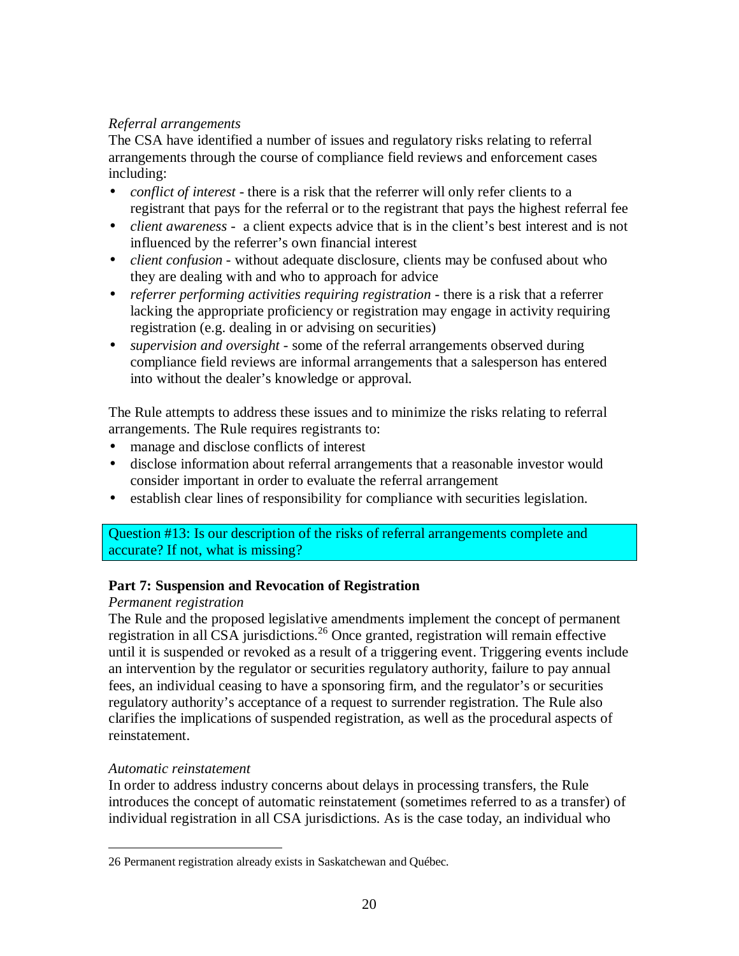# <span id="page-19-0"></span>*Referral arrangements*

The CSA have identified a number of issues and regulatory risks relating to referral arrangements through the course of compliance field reviews and enforcement cases including:

- *conflict of interest* there is a risk that the referrer will only refer clients to a registrant that pays for the referral or to the registrant that pays the highest referral fee
- *client awareness* a client expects advice that is in the client's best interest and is not influenced by the referrer's own financial interest
- *client confusion* without adequate disclosure, clients may be confused about who they are dealing with and who to approach for advice
- *referrer performing activities requiring registration* there is a risk that a referrer lacking the appropriate proficiency or registration may engage in activity requiring registration (e.g. dealing in or advising on securities)
- *supervision and oversight* some of the referral arrangements observed during compliance field reviews are informal arrangements that a salesperson has entered into without the dealer's knowledge or approval.

The Rule attempts to address these issues and to minimize the risks relating to referral arrangements. The Rule requires registrants to:

- manage and disclose conflicts of interest
- disclose information about referral arrangements that a reasonable investor would consider important in order to evaluate the referral arrangement
- establish clear lines of responsibility for compliance with securities legislation.

# Question #13: Is our description of the risks of referral arrangements complete and accurate? If not, what is missing?

# **Part 7: Suspension and Revocation of Registration**

# *Permanent registration*

The Rule and the proposed legislative amendments implement the concept of permanent registration in all CSA jurisdictions.<sup>26</sup> Once granted, registration will remain effective until it is suspended or revoked as a result of a triggering event. Triggering events include an intervention by the regulator or securities regulatory authority, failure to pay annual fees, an individual ceasing to have a sponsoring firm, and the regulator's or securities regulatory authority's acceptance of a request to surrender registration. The Rule also clarifies the implications of suspended registration, as well as the procedural aspects of reinstatement.

# *Automatic reinstatement*

In order to address industry concerns about delays in processing transfers, the Rule introduces the concept of automatic reinstatement (sometimes referred to as a transfer) of individual registration in all CSA jurisdictions. As is the case today, an individual who

<sup>&</sup>lt;u>.</u> 26 Permanent registration already exists in Saskatchewan and Québec.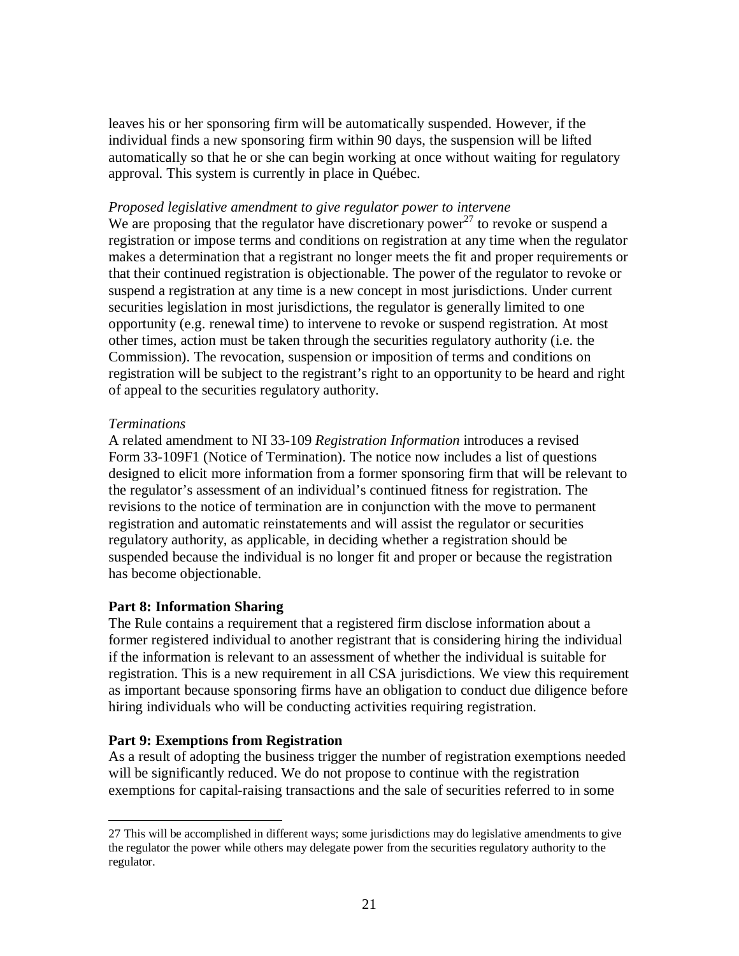<span id="page-20-0"></span>leaves his or her sponsoring firm will be automatically suspended. However, if the individual finds a new sponsoring firm within 90 days, the suspension will be lifted automatically so that he or she can begin working at once without waiting for regulatory approval. This system is currently in place in Québec.

#### *Proposed legislative amendment to give regulator power to intervene*

We are proposing that the regulator have discretionary power<sup>27</sup> to revoke or suspend a registration or impose terms and conditions on registration at any time when the regulator makes a determination that a registrant no longer meets the fit and proper requirements or that their continued registration is objectionable. The power of the regulator to revoke or suspend a registration at any time is a new concept in most jurisdictions. Under current securities legislation in most jurisdictions, the regulator is generally limited to one opportunity (e.g. renewal time) to intervene to revoke or suspend registration. At most other times, action must be taken through the securities regulatory authority (i.e. the Commission). The revocation, suspension or imposition of terms and conditions on registration will be subject to the registrant's right to an opportunity to be heard and right of appeal to the securities regulatory authority.

#### *Terminations*

-

A related amendment to NI 33-109 *Registration Information* introduces a revised Form 33-109F1 (Notice of Termination). The notice now includes a list of questions designed to elicit more information from a former sponsoring firm that will be relevant to the regulator's assessment of an individual's continued fitness for registration. The revisions to the notice of termination are in conjunction with the move to permanent registration and automatic reinstatements and will assist the regulator or securities regulatory authority, as applicable, in deciding whether a registration should be suspended because the individual is no longer fit and proper or because the registration has become objectionable.

## **Part 8: Information Sharing**

The Rule contains a requirement that a registered firm disclose information about a former registered individual to another registrant that is considering hiring the individual if the information is relevant to an assessment of whether the individual is suitable for registration. This is a new requirement in all CSA jurisdictions. We view this requirement as important because sponsoring firms have an obligation to conduct due diligence before hiring individuals who will be conducting activities requiring registration.

# **Part 9: Exemptions from Registration**

As a result of adopting the business trigger the number of registration exemptions needed will be significantly reduced. We do not propose to continue with the registration exemptions for capital-raising transactions and the sale of securities referred to in some

<sup>27</sup> This will be accomplished in different ways; some jurisdictions may do legislative amendments to give the regulator the power while others may delegate power from the securities regulatory authority to the regulator.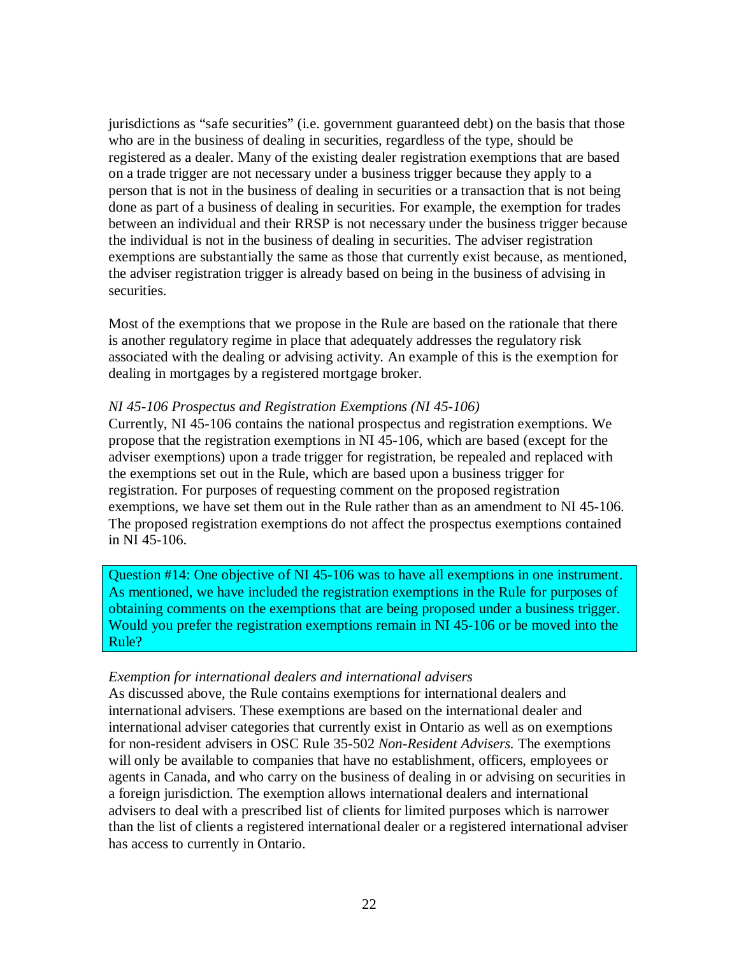<span id="page-21-0"></span>jurisdictions as "safe securities" (i.e. government guaranteed debt) on the basis that those who are in the business of dealing in securities, regardless of the type, should be registered as a dealer. Many of the existing dealer registration exemptions that are based on a trade trigger are not necessary under a business trigger because they apply to a person that is not in the business of dealing in securities or a transaction that is not being done as part of a business of dealing in securities. For example, the exemption for trades between an individual and their RRSP is not necessary under the business trigger because the individual is not in the business of dealing in securities. The adviser registration exemptions are substantially the same as those that currently exist because, as mentioned, the adviser registration trigger is already based on being in the business of advising in securities.

Most of the exemptions that we propose in the Rule are based on the rationale that there is another regulatory regime in place that adequately addresses the regulatory risk associated with the dealing or advising activity. An example of this is the exemption for dealing in mortgages by a registered mortgage broker.

#### *NI 45-106 Prospectus and Registration Exemptions (NI 45-106)*

Currently, NI 45-106 contains the national prospectus and registration exemptions. We propose that the registration exemptions in NI 45-106, which are based (except for the adviser exemptions) upon a trade trigger for registration, be repealed and replaced with the exemptions set out in the Rule, which are based upon a business trigger for registration. For purposes of requesting comment on the proposed registration exemptions, we have set them out in the Rule rather than as an amendment to NI 45-106. The proposed registration exemptions do not affect the prospectus exemptions contained in NI 45-106.

Question #14: One objective of NI 45-106 was to have all exemptions in one instrument. As mentioned, we have included the registration exemptions in the Rule for purposes of obtaining comments on the exemptions that are being proposed under a business trigger. Would you prefer the registration exemptions remain in NI 45-106 or be moved into the Rule?

## *Exemption for international dealers and international advisers*

As discussed above, the Rule contains exemptions for international dealers and international advisers. These exemptions are based on the international dealer and international adviser categories that currently exist in Ontario as well as on exemptions for non-resident advisers in OSC Rule 35-502 *Non-Resident Advisers.* The exemptions will only be available to companies that have no establishment, officers, employees or agents in Canada, and who carry on the business of dealing in or advising on securities in a foreign jurisdiction. The exemption allows international dealers and international advisers to deal with a prescribed list of clients for limited purposes which is narrower than the list of clients a registered international dealer or a registered international adviser has access to currently in Ontario.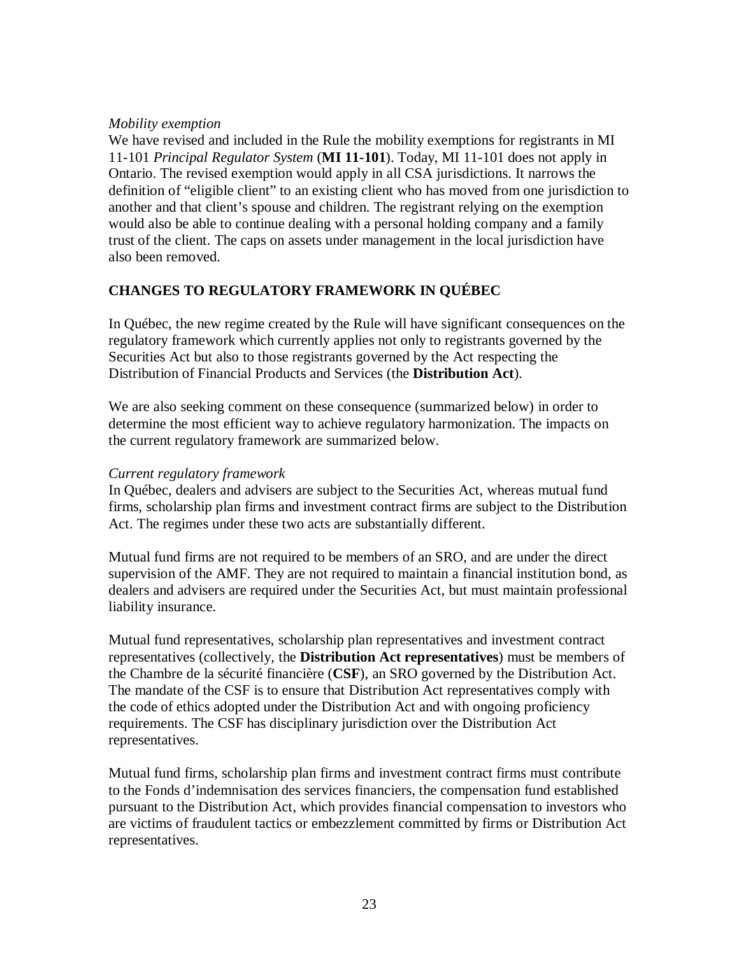## *Mobility exemption*

We have revised and included in the Rule the mobility exemptions for registrants in MI 11-101 *Principal Regulator System* (**MI 11-101**). Today, MI 11-101 does not apply in Ontario. The revised exemption would apply in all CSA jurisdictions. It narrows the definition of "eligible client" to an existing client who has moved from one jurisdiction to another and that client's spouse and children. The registrant relying on the exemption would also be able to continue dealing with a personal holding company and a family trust of the client. The caps on assets under management in the local jurisdiction have also been removed.

# **CHANGES TO REGULATORY FRAMEWORK IN QUÉBEC**

In Québec, the new regime created by the Rule will have significant consequences on the regulatory framework which currently applies not only to registrants governed by the Securities Act but also to those registrants governed by the Act respecting the Distribution of Financial Products and Services (the **Distribution Act**).

We are also seeking comment on these consequence (summarized below) in order to determine the most efficient way to achieve regulatory harmonization. The impacts on the current regulatory framework are summarized below.

# *Current regulatory framework*

In Québec, dealers and advisers are subject to the Securities Act, whereas mutual fund firms, scholarship plan firms and investment contract firms are subject to the Distribution Act. The regimes under these two acts are substantially different.

Mutual fund firms are not required to be members of an SRO, and are under the direct supervision of the AMF. They are not required to maintain a financial institution bond, as dealers and advisers are required under the Securities Act, but must maintain professional liability insurance.

Mutual fund representatives, scholarship plan representatives and investment contract representatives (collectively, the **Distribution Act representatives**) must be members of the Chambre de la sécurité financière (**CSF**), an SRO governed by the Distribution Act. The mandate of the CSF is to ensure that Distribution Act representatives comply with the code of ethics adopted under the Distribution Act and with ongoing proficiency requirements. The CSF has disciplinary jurisdiction over the Distribution Act representatives.

Mutual fund firms, scholarship plan firms and investment contract firms must contribute to the Fonds d'indemnisation des services financiers, the compensation fund established pursuant to the Distribution Act, which provides financial compensation to investors who are victims of fraudulent tactics or embezzlement committed by firms or Distribution Act representatives.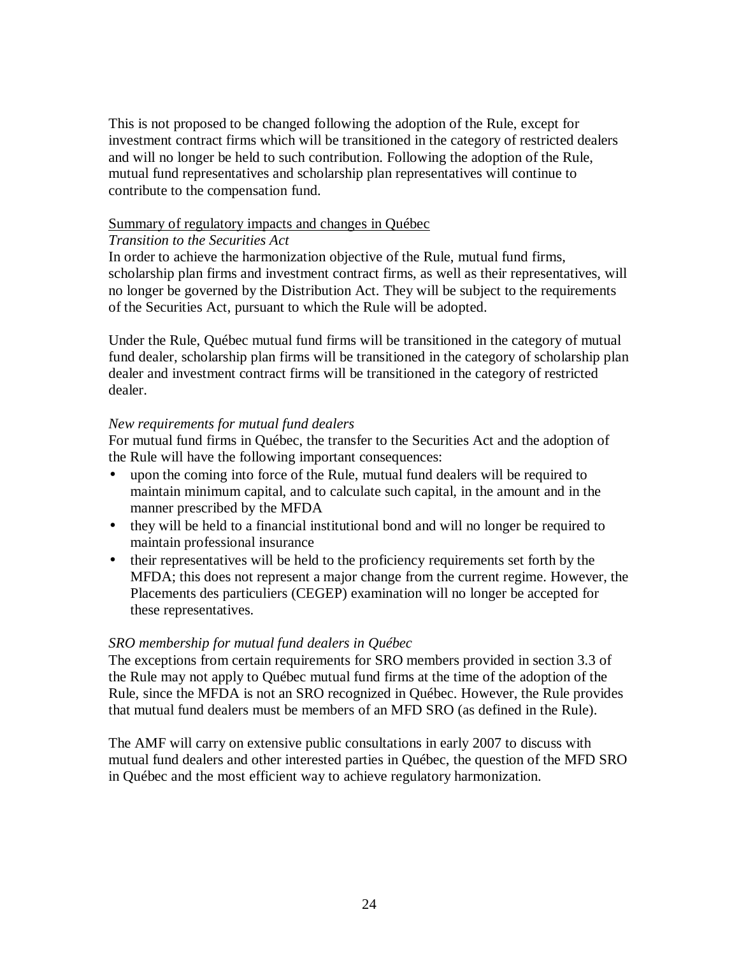<span id="page-23-0"></span>This is not proposed to be changed following the adoption of the Rule, except for investment contract firms which will be transitioned in the category of restricted dealers and will no longer be held to such contribution. Following the adoption of the Rule, mutual fund representatives and scholarship plan representatives will continue to contribute to the compensation fund.

## Summary of regulatory impacts and changes in Québec

#### *Transition to the Securities Act*

In order to achieve the harmonization objective of the Rule, mutual fund firms, scholarship plan firms and investment contract firms, as well as their representatives, will no longer be governed by the Distribution Act. They will be subject to the requirements of the Securities Act, pursuant to which the Rule will be adopted.

Under the Rule, Québec mutual fund firms will be transitioned in the category of mutual fund dealer, scholarship plan firms will be transitioned in the category of scholarship plan dealer and investment contract firms will be transitioned in the category of restricted dealer.

## *New requirements for mutual fund dealers*

For mutual fund firms in Québec, the transfer to the Securities Act and the adoption of the Rule will have the following important consequences:

- upon the coming into force of the Rule, mutual fund dealers will be required to maintain minimum capital, and to calculate such capital, in the amount and in the manner prescribed by the MFDA
- they will be held to a financial institutional bond and will no longer be required to maintain professional insurance
- their representatives will be held to the proficiency requirements set forth by the MFDA; this does not represent a major change from the current regime. However, the Placements des particuliers (CEGEP) examination will no longer be accepted for these representatives.

## *SRO membership for mutual fund dealers in Québec*

The exceptions from certain requirements for SRO members provided in section 3.3 of the Rule may not apply to Québec mutual fund firms at the time of the adoption of the Rule, since the MFDA is not an SRO recognized in Québec. However, the Rule provides that mutual fund dealers must be members of an MFD SRO (as defined in the Rule).

The AMF will carry on extensive public consultations in early 2007 to discuss with mutual fund dealers and other interested parties in Québec, the question of the MFD SRO in Québec and the most efficient way to achieve regulatory harmonization.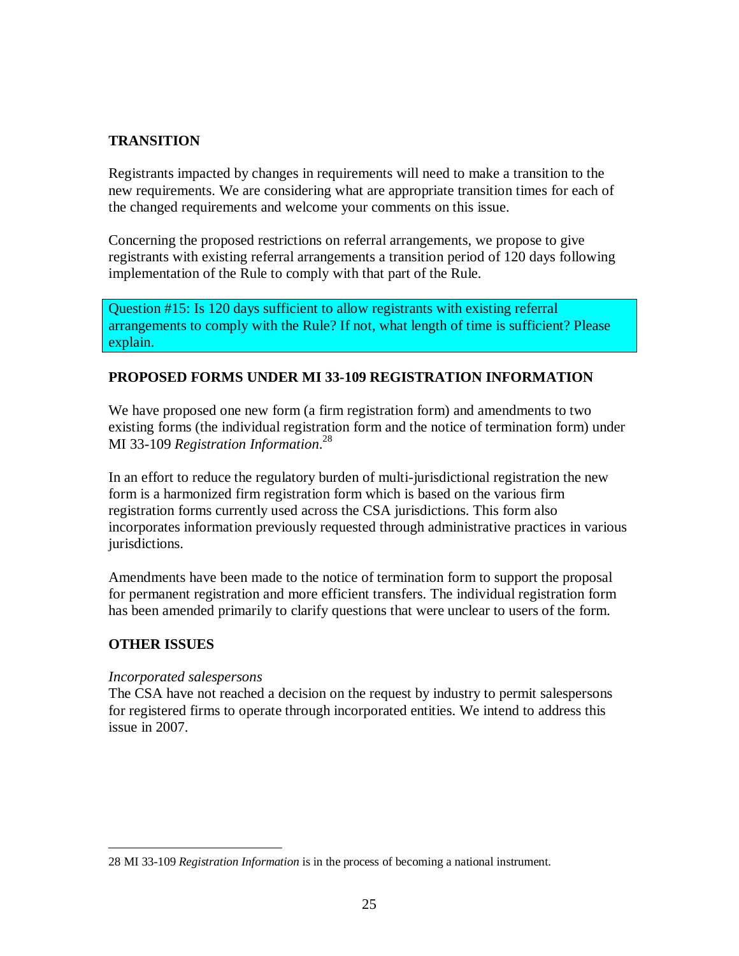# **TRANSITION**

Registrants impacted by changes in requirements will need to make a transition to the new requirements. We are considering what are appropriate transition times for each of the changed requirements and welcome your comments on this issue.

Concerning the proposed restrictions on referral arrangements, we propose to give registrants with existing referral arrangements a transition period of 120 days following implementation of the Rule to comply with that part of the Rule.

Question #15: Is 120 days sufficient to allow registrants with existing referral arrangements to comply with the Rule? If not, what length of time is sufficient? Please explain.

# **PROPOSED FORMS UNDER MI 33-109 REGISTRATION INFORMATION**

We have proposed one new form (a firm registration form) and amendments to two existing forms (the individual registration form and the notice of termination form) under MI 33-109 *Registration Information*. 28

In an effort to reduce the regulatory burden of multi-jurisdictional registration the new form is a harmonized firm registration form which is based on the various firm registration forms currently used across the CSA jurisdictions. This form also incorporates information previously requested through administrative practices in various jurisdictions.

Amendments have been made to the notice of termination form to support the proposal for permanent registration and more efficient transfers. The individual registration form has been amended primarily to clarify questions that were unclear to users of the form.

## **OTHER ISSUES**

## *Incorporated salespersons*

The CSA have not reached a decision on the request by industry to permit salespersons for registered firms to operate through incorporated entities. We intend to address this issue in 2007.

<sup>&</sup>lt;u>.</u> 28 MI 33-109 *Registration Information* is in the process of becoming a national instrument.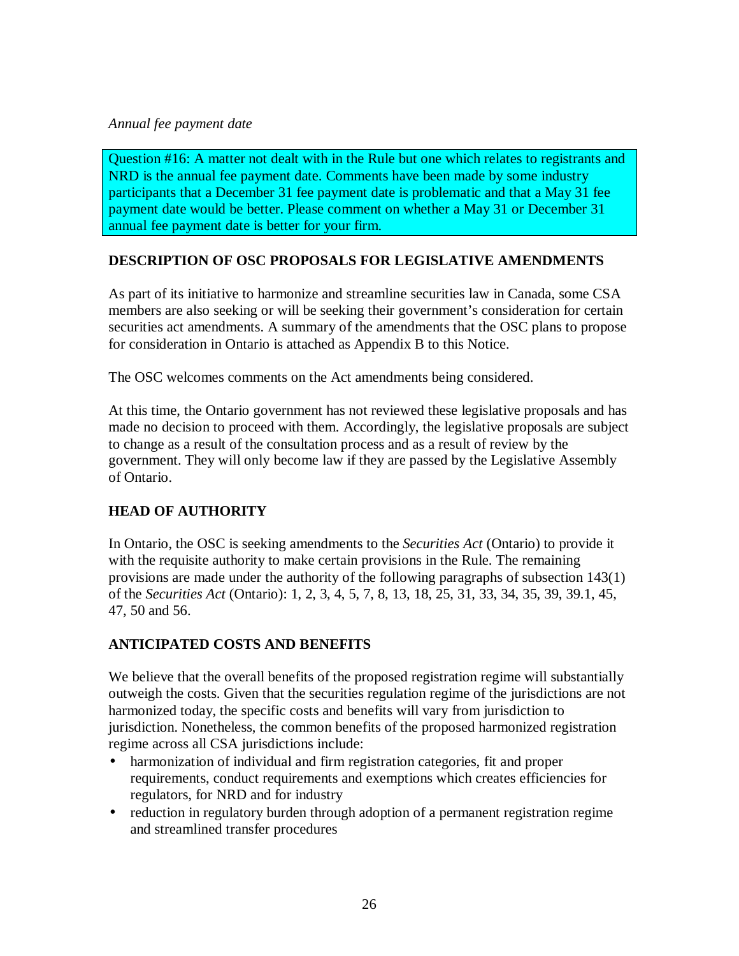# <span id="page-25-0"></span>*Annual fee payment date*

Question #16: A matter not dealt with in the Rule but one which relates to registrants and NRD is the annual fee payment date. Comments have been made by some industry participants that a December 31 fee payment date is problematic and that a May 31 fee payment date would be better. Please comment on whether a May 31 or December 31 annual fee payment date is better for your firm.

# **DESCRIPTION OF OSC PROPOSALS FOR LEGISLATIVE AMENDMENTS**

As part of its initiative to harmonize and streamline securities law in Canada, some CSA members are also seeking or will be seeking their government's consideration for certain securities act amendments. A summary of the amendments that the OSC plans to propose for consideration in Ontario is attached as Appendix B to this Notice.

The OSC welcomes comments on the Act amendments being considered.

At this time, the Ontario government has not reviewed these legislative proposals and has made no decision to proceed with them. Accordingly, the legislative proposals are subject to change as a result of the consultation process and as a result of review by the government. They will only become law if they are passed by the Legislative Assembly of Ontario.

# **HEAD OF AUTHORITY**

In Ontario, the OSC is seeking amendments to the *Securities Act* (Ontario) to provide it with the requisite authority to make certain provisions in the Rule. The remaining provisions are made under the authority of the following paragraphs of subsection 143(1) of the *Securities Act* (Ontario): 1, 2, 3, 4, 5, 7, 8, 13, 18, 25, 31, 33, 34, 35, 39, 39.1, 45, 47, 50 and 56.

# **ANTICIPATED COSTS AND BENEFITS**

We believe that the overall benefits of the proposed registration regime will substantially outweigh the costs. Given that the securities regulation regime of the jurisdictions are not harmonized today, the specific costs and benefits will vary from jurisdiction to jurisdiction. Nonetheless, the common benefits of the proposed harmonized registration regime across all CSA jurisdictions include:

- harmonization of individual and firm registration categories, fit and proper requirements, conduct requirements and exemptions which creates efficiencies for regulators, for NRD and for industry
- reduction in regulatory burden through adoption of a permanent registration regime and streamlined transfer procedures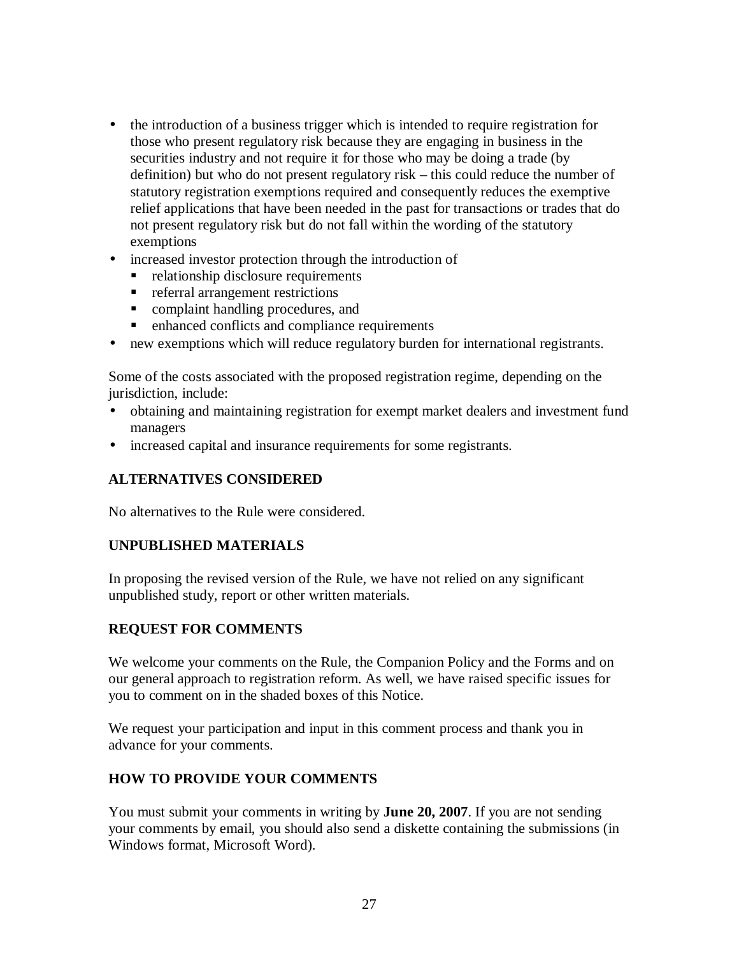- <span id="page-26-0"></span>• the introduction of a business trigger which is intended to require registration for those who present regulatory risk because they are engaging in business in the securities industry and not require it for those who may be doing a trade (by definition) but who do not present regulatory risk – this could reduce the number of statutory registration exemptions required and consequently reduces the exemptive relief applications that have been needed in the past for transactions or trades that do not present regulatory risk but do not fall within the wording of the statutory exemptions
- increased investor protection through the introduction of
	- relationship disclosure requirements
	- **referral arrangement restrictions**
	- complaint handling procedures, and
	- enhanced conflicts and compliance requirements
- new exemptions which will reduce regulatory burden for international registrants.

Some of the costs associated with the proposed registration regime, depending on the jurisdiction, include:

- obtaining and maintaining registration for exempt market dealers and investment fund managers
- increased capital and insurance requirements for some registrants.

# **ALTERNATIVES CONSIDERED**

No alternatives to the Rule were considered.

## **UNPUBLISHED MATERIALS**

In proposing the revised version of the Rule, we have not relied on any significant unpublished study, report or other written materials.

# **REQUEST FOR COMMENTS**

We welcome your comments on the Rule, the Companion Policy and the Forms and on our general approach to registration reform. As well, we have raised specific issues for you to comment on in the shaded boxes of this Notice.

We request your participation and input in this comment process and thank you in advance for your comments.

# **HOW TO PROVIDE YOUR COMMENTS**

You must submit your comments in writing by **June 20, 2007**. If you are not sending your comments by email, you should also send a diskette containing the submissions (in Windows format, Microsoft Word).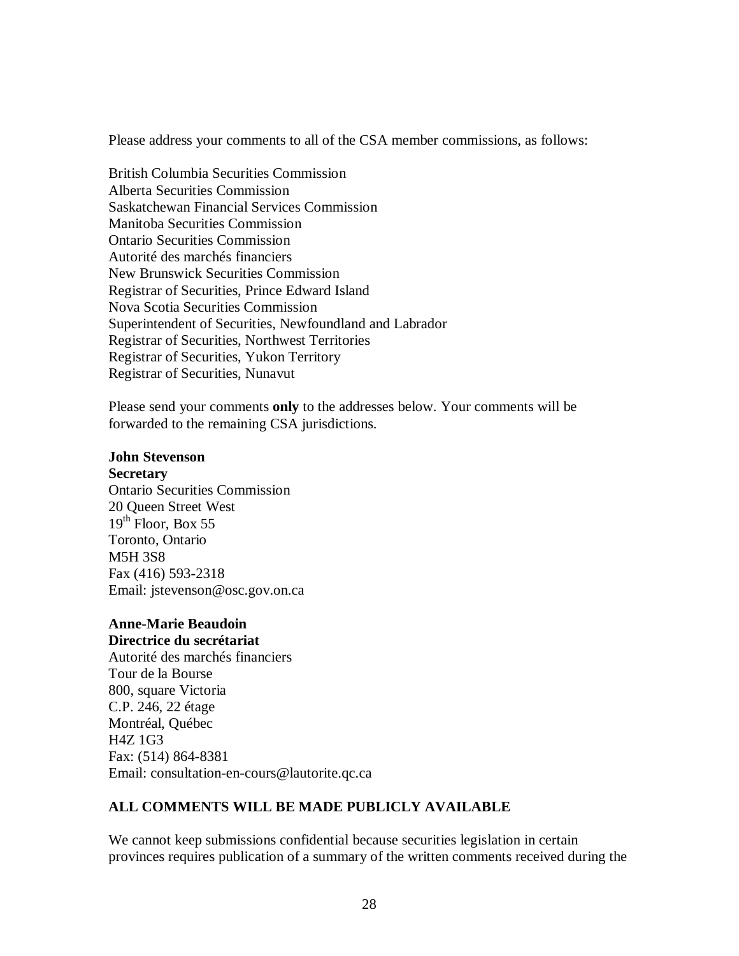<span id="page-27-0"></span>Please address your comments to all of the CSA member commissions, as follows:

British Columbia Securities Commission Alberta Securities Commission Saskatchewan Financial Services Commission Manitoba Securities Commission Ontario Securities Commission Autorité des marchés financiers New Brunswick Securities Commission Registrar of Securities, Prince Edward Island Nova Scotia Securities Commission Superintendent of Securities, Newfoundland and Labrador Registrar of Securities, Northwest Territories Registrar of Securities, Yukon Territory Registrar of Securities, Nunavut

Please send your comments **only** to the addresses below. Your comments will be forwarded to the remaining CSA jurisdictions.

## **John Stevenson**

**Secretary**

Ontario Securities Commission 20 Queen Street West  $19<sup>th</sup>$  Floor, Box 55 Toronto, Ontario M5H 3S8 Fax (416) 593-2318 Email: jstevenson@osc.gov.on.ca

# **Anne-Marie Beaudoin**

**Directrice du secrétariat**

Autorité des mar[chés financiers](mailto:jsetevenson@osc.gov.on.ca)  Tour de la Bourse 800, square Victoria C.P. 246, 22 étage Montréal, Québec H4Z 1G3 Fax: (514) 864-8381 Email: consultation-en-cours@lautorite.qc.ca

# **ALL COMMENTS WILL BE MADE PUBLICLY AVAILABLE**

We cannot keep submissions confidential because securities legislation in certain provinces requires publication of a summary of the written comments received during the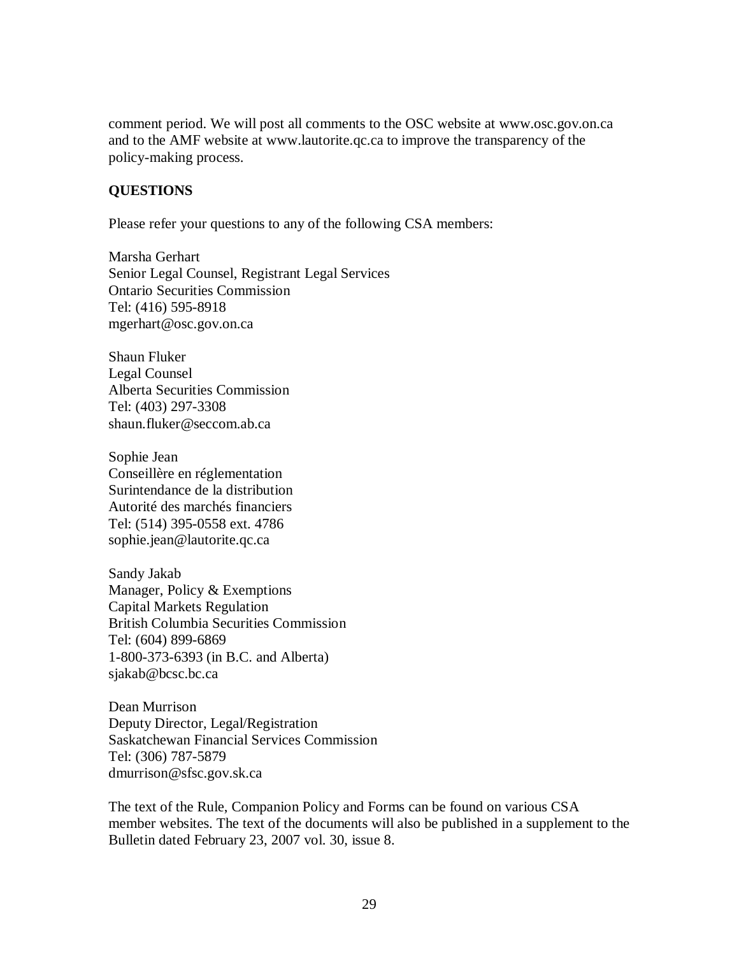comment period. We will post all comments to the OSC website at www.osc.gov.on.ca and to the AMF website at www.lautorite.qc.ca to improve the transparency of the policy-making process.

## **QUESTIONS**

Please refer your questions to any of the following CSA members:

Marsha Gerhart Senior Legal Counsel, Registrant Legal Services Ontario Securities Commission Tel: (416) 595-8918 mgerhart@osc.gov.on.ca

Shaun Fluker Legal Counsel [Alberta Securities Comm](mailto:rgoldberg@osc.gov.on.ca)ission Tel: (403) 297-3308 shaun.fluker@seccom.ab.ca

Sophie Jean Conseillère en réglementation Surintendan[ce de la distribut](mailto:nbent@bcsc.bc.ca)ion Autorité des marchés financiers Tel: (514) 395-0558 ext. 4786 sophie.jean@lautorite.qc.ca

Sandy Jakab Manager, Policy & Exemptions Capital Ma[rkets Regulation](mailto:julie.hamel@lautorite.qc.ca)  British Columbia Securities Commission Tel: (604) 899-6869 1-800-373-6393 (in B.C. and Alberta) sjakab@bcsc.bc.ca

Dean Murrison Deputy Director, Legal/Registration Saska[tchewan Fina](mailto:nbent@bcsc.bc.ca)ncial Services Commission Tel: (306) 787-5879 dmurrison@sfsc.gov.sk.ca

The text of the Rule, Companion Policy and Forms can be found on various CSA member websites. The text of the documents will also be published in a supplement to the [Bulletin dated February 23](mailto:bbouchard@gov.mb.ca), 2007 vol. 30, issue 8.